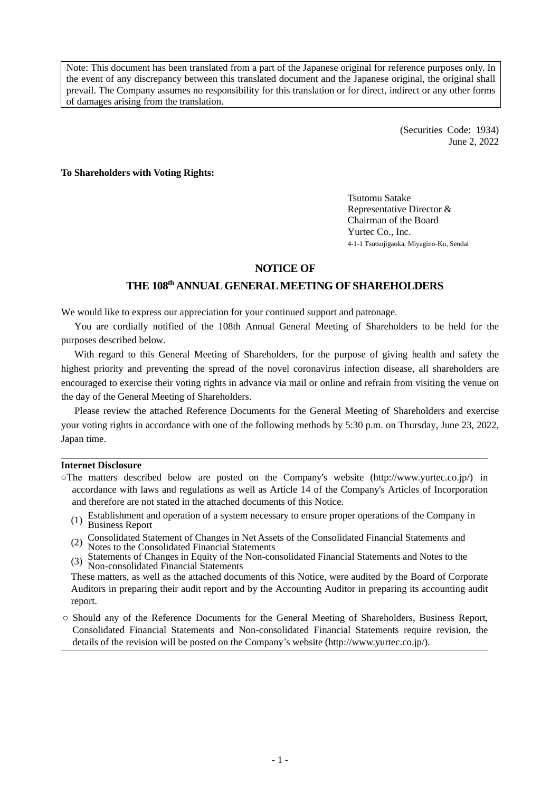Note: This document has been translated from a part of the Japanese original for reference purposes only. In the event of any discrepancy between this translated document and the Japanese original, the original shall prevail. The Company assumes no responsibility for this translation or for direct, indirect or any other forms of damages arising from the translation.

> (Securities Code: 1934) June 2, 2022

## **To Shareholders with Voting Rights:**

Tsutomu Satake Representative Director & Chairman of the Board Yurtec Co., Inc. 4-1-1 Tsutsujigaoka, Miyagino-Ku, Sendai

# **NOTICE OF**

# **THE 108 th ANNUAL GENERAL MEETING OF SHAREHOLDERS**

We would like to express our appreciation for your continued support and patronage.

You are cordially notified of the 108th Annual General Meeting of Shareholders to be held for the purposes described below.

With regard to this General Meeting of Shareholders, for the purpose of giving health and safety the highest priority and preventing the spread of the novel coronavirus infection disease, all shareholders are encouraged to exercise their voting rights in advance via mail or online and refrain from visiting the venue on the day of the General Meeting of Shareholders.

Please review the attached Reference Documents for the General Meeting of Shareholders and exercise your voting rights in accordance with one of the following methods by 5:30 p.m. on Thursday, June 23, 2022, Japan time.

## **Internet Disclosure**

- ○The matters described below are posted on the Company's website (http://www.yurtec.co.jp/) in accordance with laws and regulations as well as Article 14 of the Company's Articles of Incorporation and therefore are not stated in the attached documents of this Notice.
	- Establishment and operation of a system necessary to ensure proper operations of the Company in (1) Business Report
	- (2) Consolidated Statement of Changes in Net Assets of the Consolidated Financial Statements and Notes to the Consolidated Financial Statements
	- (3) Statements of Changes in Equity of the Non-consolidated Financial Statements and Notes to the Non-consolidated Financial Statements

These matters, as well as the attached documents of this Notice, were audited by the Board of Corporate Auditors in preparing their audit report and by the Accounting Auditor in preparing its accounting audit report.

○ Should any of the Reference Documents for the General Meeting of Shareholders, Business Report, Consolidated Financial Statements and Non-consolidated Financial Statements require revision, the details of the revision will be posted on the Company's website (http://www.yurtec.co.jp/).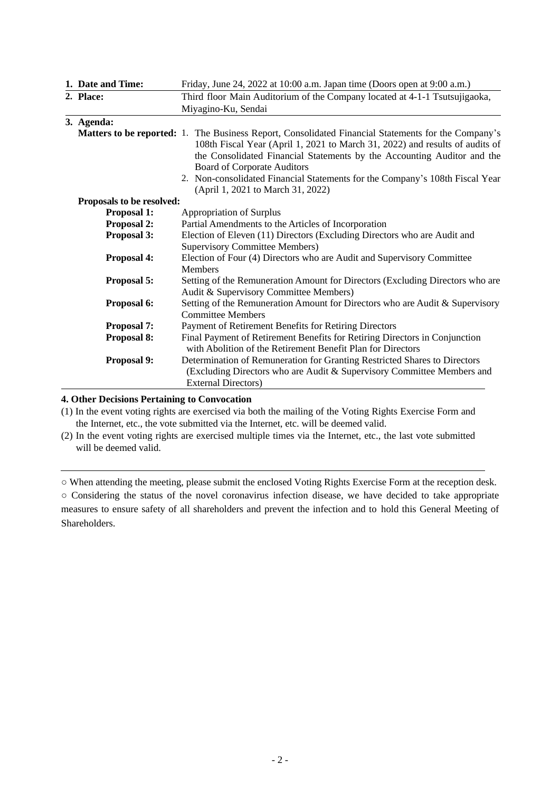|                           | 1. Date and Time:  | Friday, June 24, 2022 at 10:00 a.m. Japan time (Doors open at 9:00 a.m.)                                                                                                                                                                                              |  |
|---------------------------|--------------------|-----------------------------------------------------------------------------------------------------------------------------------------------------------------------------------------------------------------------------------------------------------------------|--|
| 2. Place:                 |                    | Third floor Main Auditorium of the Company located at 4-1-1 Tsutsujigaoka,                                                                                                                                                                                            |  |
|                           |                    | Miyagino-Ku, Sendai                                                                                                                                                                                                                                                   |  |
|                           | 3. Agenda:         |                                                                                                                                                                                                                                                                       |  |
|                           |                    | <b>Matters to be reported:</b> 1. The Business Report, Consolidated Financial Statements for the Company's<br>108th Fiscal Year (April 1, 2021 to March 31, 2022) and results of audits of<br>the Consolidated Financial Statements by the Accounting Auditor and the |  |
|                           |                    | <b>Board of Corporate Auditors</b><br>2. Non-consolidated Financial Statements for the Company's 108th Fiscal Year<br>(April 1, 2021 to March 31, 2022)                                                                                                               |  |
| Proposals to be resolved: |                    |                                                                                                                                                                                                                                                                       |  |
|                           | <b>Proposal 1:</b> | Appropriation of Surplus                                                                                                                                                                                                                                              |  |
| <b>Proposal 2:</b>        |                    | Partial Amendments to the Articles of Incorporation                                                                                                                                                                                                                   |  |
|                           | Proposal 3:        | Election of Eleven (11) Directors (Excluding Directors who are Audit and<br><b>Supervisory Committee Members)</b>                                                                                                                                                     |  |
|                           | <b>Proposal 4:</b> | Election of Four (4) Directors who are Audit and Supervisory Committee<br><b>Members</b>                                                                                                                                                                              |  |
|                           | Proposal 5:        | Setting of the Remuneration Amount for Directors (Excluding Directors who are<br>Audit & Supervisory Committee Members)                                                                                                                                               |  |
|                           | Proposal 6:        | Setting of the Remuneration Amount for Directors who are Audit & Supervisory<br><b>Committee Members</b>                                                                                                                                                              |  |
|                           | <b>Proposal 7:</b> | Payment of Retirement Benefits for Retiring Directors                                                                                                                                                                                                                 |  |
|                           | Proposal 8:        | Final Payment of Retirement Benefits for Retiring Directors in Conjunction<br>with Abolition of the Retirement Benefit Plan for Directors                                                                                                                             |  |
|                           | Proposal 9:        | Determination of Remuneration for Granting Restricted Shares to Directors<br>(Excluding Directors who are Audit & Supervisory Committee Members and<br><b>External Directors)</b>                                                                                     |  |

# **4. Other Decisions Pertaining to Convocation**

(1) In the event voting rights are exercised via both the mailing of the Voting Rights Exercise Form and the Internet, etc., the vote submitted via the Internet, etc. will be deemed valid.

(2) In the event voting rights are exercised multiple times via the Internet, etc., the last vote submitted will be deemed valid.

○ When attending the meeting, please submit the enclosed Voting Rights Exercise Form at the reception desk.

○ Considering the status of the novel coronavirus infection disease, we have decided to take appropriate measures to ensure safety of all shareholders and prevent the infection and to hold this General Meeting of Shareholders.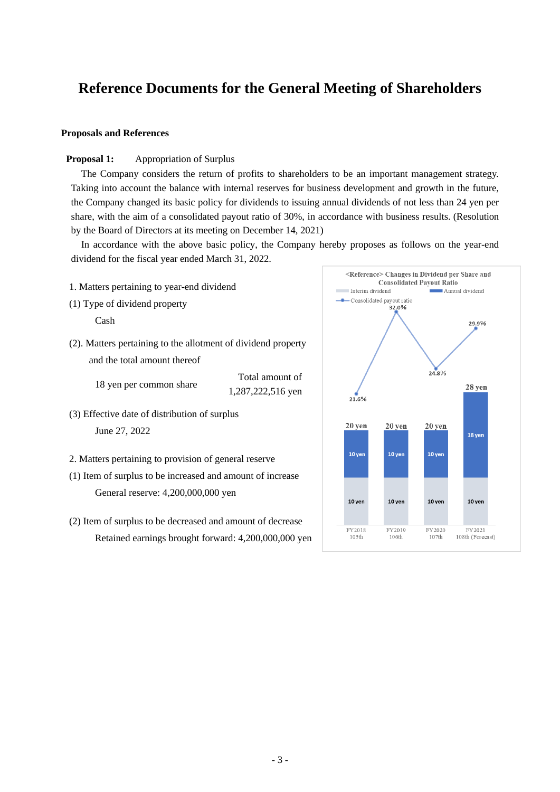# **Reference Documents for the General Meeting of Shareholders**

## **Proposals and References**

# **Proposal 1:** Appropriation of Surplus

The Company considers the return of profits to shareholders to be an important management strategy. Taking into account the balance with internal reserves for business development and growth in the future, the Company changed its basic policy for dividends to issuing annual dividends of not less than 24 yen per share, with the aim of a consolidated payout ratio of 30%, in accordance with business results. (Resolution by the Board of Directors at its meeting on December 14, 2021)

In accordance with the above basic policy, the Company hereby proposes as follows on the year-end dividend for the fiscal year ended March 31, 2022.

- 1. Matters pertaining to year-end dividend
- (1) Type of dividend property

Cash

(2). Matters pertaining to the allotment of dividend property and the total amount thereof

18 yen per common share

1,287,222,516 yen

Total amount of

- (3) Effective date of distribution of surplus June 27, 2022
- 2. Matters pertaining to provision of general reserve
- (1) Item of surplus to be increased and amount of increase General reserve: 4,200,000,000 yen
- (2) Item of surplus to be decreased and amount of decrease Retained earnings brought forward: 4,200,000,000 yen

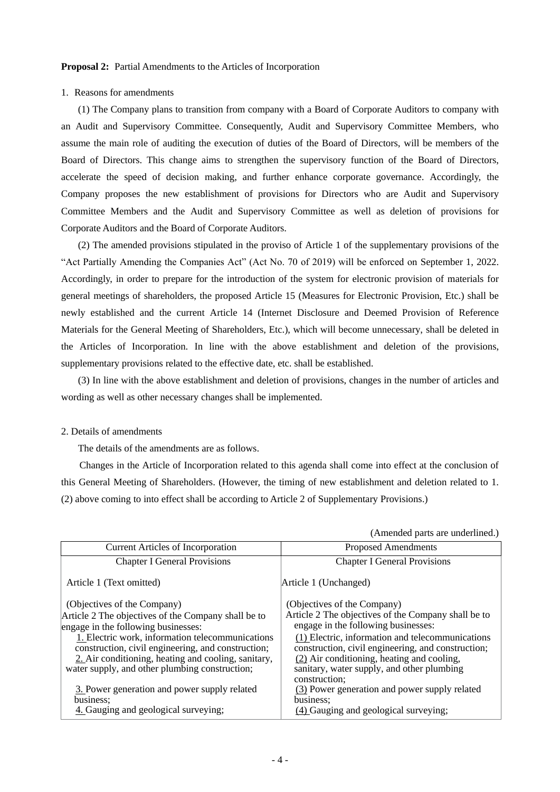#### **Proposal 2:** Partial Amendments to the Articles of Incorporation

#### 1. Reasons for amendments

(1) The Company plans to transition from company with a Board of Corporate Auditors to company with an Audit and Supervisory Committee. Consequently, Audit and Supervisory Committee Members, who assume the main role of auditing the execution of duties of the Board of Directors, will be members of the Board of Directors. This change aims to strengthen the supervisory function of the Board of Directors, accelerate the speed of decision making, and further enhance corporate governance. Accordingly, the Company proposes the new establishment of provisions for Directors who are Audit and Supervisory Committee Members and the Audit and Supervisory Committee as well as deletion of provisions for Corporate Auditors and the Board of Corporate Auditors.

(2) The amended provisions stipulated in the proviso of Article 1 of the supplementary provisions of the "Act Partially Amending the Companies Act" (Act No. 70 of 2019) will be enforced on September 1, 2022. Accordingly, in order to prepare for the introduction of the system for electronic provision of materials for general meetings of shareholders, the proposed Article 15 (Measures for Electronic Provision, Etc.) shall be newly established and the current Article 14 (Internet Disclosure and Deemed Provision of Reference Materials for the General Meeting of Shareholders, Etc.), which will become unnecessary, shall be deleted in the Articles of Incorporation. In line with the above establishment and deletion of the provisions, supplementary provisions related to the effective date, etc. shall be established.

(3) In line with the above establishment and deletion of provisions, changes in the number of articles and wording as well as other necessary changes shall be implemented.

## 2. Details of amendments

The details of the amendments are as follows.

Changes in the Article of Incorporation related to this agenda shall come into effect at the conclusion of this General Meeting of Shareholders. (However, the timing of new establishment and deletion related to 1. (2) above coming to into effect shall be according to Article 2 of Supplementary Provisions.)

|  |  |  | (Amended parts are underlined.) |  |
|--|--|--|---------------------------------|--|
|--|--|--|---------------------------------|--|

| <b>Current Articles of Incorporation</b>                                                                                                                                                                        | <b>Proposed Amendments</b>                                                                                                                                                                                          |
|-----------------------------------------------------------------------------------------------------------------------------------------------------------------------------------------------------------------|---------------------------------------------------------------------------------------------------------------------------------------------------------------------------------------------------------------------|
| <b>Chapter I General Provisions</b>                                                                                                                                                                             | <b>Chapter I General Provisions</b>                                                                                                                                                                                 |
| Article 1 (Text omitted)                                                                                                                                                                                        | Article 1 (Unchanged)                                                                                                                                                                                               |
| (Objectives of the Company)                                                                                                                                                                                     | (Objectives of the Company)                                                                                                                                                                                         |
| Article 2 The objectives of the Company shall be to<br>engage in the following businesses:                                                                                                                      | Article 2 The objectives of the Company shall be to<br>engage in the following businesses:                                                                                                                          |
| 1. Electric work, information telecommunications<br>construction, civil engineering, and construction;<br>2. Air conditioning, heating and cooling, sanitary,<br>water supply, and other plumbing construction; | (1) Electric, information and telecommunications<br>construction, civil engineering, and construction;<br>(2) Air conditioning, heating and cooling,<br>sanitary, water supply, and other plumbing<br>construction; |
| 3. Power generation and power supply related<br>business:<br>4. Gauging and geological surveying;                                                                                                               | (3) Power generation and power supply related<br>business;<br>(4) Gauging and geological surveying;                                                                                                                 |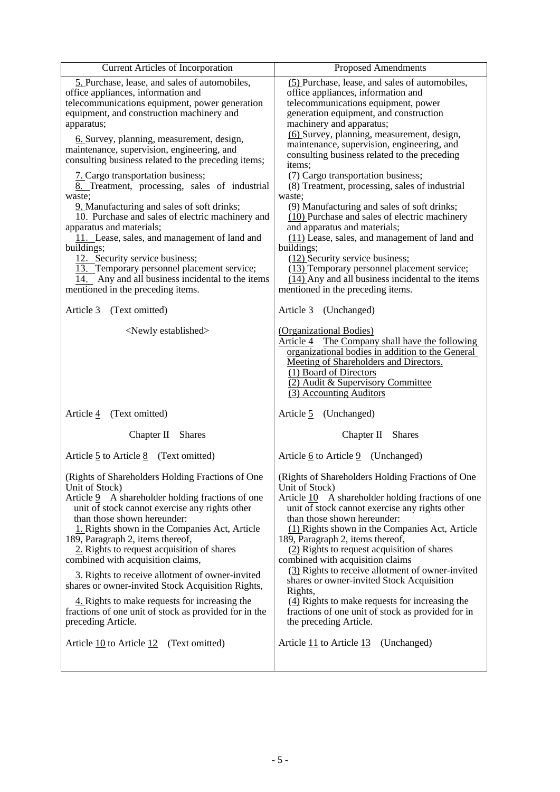| <b>Current Articles of Incorporation</b>                                                                                                                                                         | <b>Proposed Amendments</b>                                                                                                                                                                                                                                        |
|--------------------------------------------------------------------------------------------------------------------------------------------------------------------------------------------------|-------------------------------------------------------------------------------------------------------------------------------------------------------------------------------------------------------------------------------------------------------------------|
| 5. Purchase, lease, and sales of automobiles,<br>office appliances, information and<br>telecommunications equipment, power generation<br>equipment, and construction machinery and<br>apparatus; | (5) Purchase, lease, and sales of automobiles,<br>office appliances, information and<br>telecommunications equipment, power<br>generation equipment, and construction<br>machinery and apparatus;<br>(6) Survey, planning, measurement, design,                   |
| 6. Survey, planning, measurement, design,                                                                                                                                                        | maintenance, supervision, engineering, and                                                                                                                                                                                                                        |
| maintenance, supervision, engineering, and                                                                                                                                                       | consulting business related to the preceding                                                                                                                                                                                                                      |
| consulting business related to the preceding items;                                                                                                                                              | items;                                                                                                                                                                                                                                                            |
| 7. Cargo transportation business;                                                                                                                                                                | (7) Cargo transportation business;                                                                                                                                                                                                                                |
| 8. Treatment, processing, sales of industrial                                                                                                                                                    | (8) Treatment, processing, sales of industrial                                                                                                                                                                                                                    |
| waste;                                                                                                                                                                                           | waste;                                                                                                                                                                                                                                                            |
| 9. Manufacturing and sales of soft drinks;                                                                                                                                                       | (9) Manufacturing and sales of soft drinks;                                                                                                                                                                                                                       |
| 10. Purchase and sales of electric machinery and                                                                                                                                                 | (10) Purchase and sales of electric machinery                                                                                                                                                                                                                     |
| apparatus and materials;                                                                                                                                                                         | and apparatus and materials;                                                                                                                                                                                                                                      |
| 11. Lease, sales, and management of land and                                                                                                                                                     | (11) Lease, sales, and management of land and                                                                                                                                                                                                                     |
| buildings;                                                                                                                                                                                       | buildings;                                                                                                                                                                                                                                                        |
| 12. Security service business;                                                                                                                                                                   | $(12)$ Security service business;                                                                                                                                                                                                                                 |
| 13. Temporary personnel placement service;                                                                                                                                                       | (13) Temporary personnel placement service;                                                                                                                                                                                                                       |
| 14. Any and all business incidental to the items                                                                                                                                                 | (14) Any and all business incidental to the items                                                                                                                                                                                                                 |
| mentioned in the preceding items.                                                                                                                                                                | mentioned in the preceding items.                                                                                                                                                                                                                                 |
| Article 3<br>(Text omitted)                                                                                                                                                                      | Article 3 (Unchanged)                                                                                                                                                                                                                                             |
| <newly established=""></newly>                                                                                                                                                                   | (Organizational Bodies)<br>Article 4 The Company shall have the following<br>organizational bodies in addition to the General<br>Meeting of Shareholders and Directors.<br>(1) Board of Directors<br>(2) Audit & Supervisory Committee<br>(3) Accounting Auditors |
| Article 4                                                                                                                                                                                        | Article 5                                                                                                                                                                                                                                                         |
| (Text omitted)                                                                                                                                                                                   | (Unchanged)                                                                                                                                                                                                                                                       |
| Chapter II                                                                                                                                                                                       | Chapter II                                                                                                                                                                                                                                                        |
| <b>Shares</b>                                                                                                                                                                                    | <b>Shares</b>                                                                                                                                                                                                                                                     |
| Article $\frac{5}{2}$ to Article $\frac{8}{2}$ (Text omitted)                                                                                                                                    | Article $6$ to Article $9$ (Unchanged)                                                                                                                                                                                                                            |
| (Rights of Shareholders Holding Fractions of One                                                                                                                                                 | (Rights of Shareholders Holding Fractions of One                                                                                                                                                                                                                  |
| Unit of Stock)                                                                                                                                                                                   | Unit of Stock)                                                                                                                                                                                                                                                    |
| A shareholder holding fractions of one                                                                                                                                                           | Article $\underline{10}$ A shareholder holding fractions of one                                                                                                                                                                                                   |
| Article 9                                                                                                                                                                                        | unit of stock cannot exercise any rights other                                                                                                                                                                                                                    |
| unit of stock cannot exercise any rights other                                                                                                                                                   | than those shown hereunder:                                                                                                                                                                                                                                       |
| than those shown hereunder:                                                                                                                                                                      | (1) Rights shown in the Companies Act, Article                                                                                                                                                                                                                    |
| 1. Rights shown in the Companies Act, Article                                                                                                                                                    | 189, Paragraph 2, items thereof,                                                                                                                                                                                                                                  |
| 189, Paragraph 2, items thereof,                                                                                                                                                                 | (2) Rights to request acquisition of shares                                                                                                                                                                                                                       |
| 2. Rights to request acquisition of shares                                                                                                                                                       | combined with acquisition claims                                                                                                                                                                                                                                  |
| combined with acquisition claims,                                                                                                                                                                | (3) Rights to receive allotment of owner-invited                                                                                                                                                                                                                  |
| 3. Rights to receive allotment of owner-invited                                                                                                                                                  | shares or owner-invited Stock Acquisition                                                                                                                                                                                                                         |
| shares or owner-invited Stock Acquisition Rights,                                                                                                                                                | Rights,                                                                                                                                                                                                                                                           |
| 4. Rights to make requests for increasing the                                                                                                                                                    | $\frac{4}{2}$ Rights to make requests for increasing the                                                                                                                                                                                                          |
| fractions of one unit of stock as provided for in the                                                                                                                                            | fractions of one unit of stock as provided for in                                                                                                                                                                                                                 |
| preceding Article.                                                                                                                                                                               | the preceding Article.                                                                                                                                                                                                                                            |
| Article 10 to Article 12                                                                                                                                                                         | Article 11 to Article 13                                                                                                                                                                                                                                          |
| (Text omitted)                                                                                                                                                                                   | (Unchanged)                                                                                                                                                                                                                                                       |
|                                                                                                                                                                                                  |                                                                                                                                                                                                                                                                   |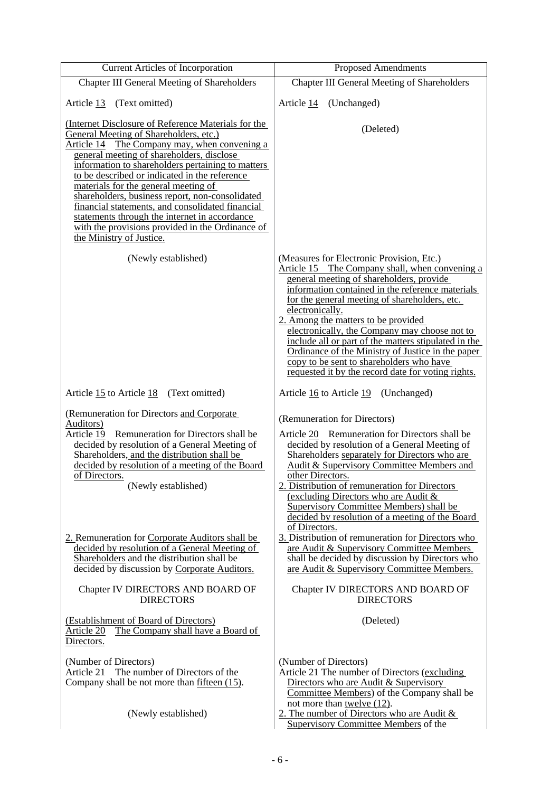| <b>Current Articles of Incorporation</b>                                                                                                                                                                                                                                                                                                                                                                                                                                                                                                                                         | <b>Proposed Amendments</b>                                                                                                                                                                                                                                                                                                                                                                                                                                                                                                                                             |
|----------------------------------------------------------------------------------------------------------------------------------------------------------------------------------------------------------------------------------------------------------------------------------------------------------------------------------------------------------------------------------------------------------------------------------------------------------------------------------------------------------------------------------------------------------------------------------|------------------------------------------------------------------------------------------------------------------------------------------------------------------------------------------------------------------------------------------------------------------------------------------------------------------------------------------------------------------------------------------------------------------------------------------------------------------------------------------------------------------------------------------------------------------------|
| <b>Chapter III General Meeting of Shareholders</b>                                                                                                                                                                                                                                                                                                                                                                                                                                                                                                                               | <b>Chapter III General Meeting of Shareholders</b>                                                                                                                                                                                                                                                                                                                                                                                                                                                                                                                     |
| (Text omitted)<br>Article 13                                                                                                                                                                                                                                                                                                                                                                                                                                                                                                                                                     | Article 14 (Unchanged)                                                                                                                                                                                                                                                                                                                                                                                                                                                                                                                                                 |
| (Internet Disclosure of Reference Materials for the<br>General Meeting of Shareholders, etc.)<br>Article 14 The Company may, when convening a<br>general meeting of shareholders, disclose<br>information to shareholders pertaining to matters<br>to be described or indicated in the reference<br>materials for the general meeting of<br>shareholders, business report, non-consolidated<br>financial statements, and consolidated financial<br>statements through the internet in accordance<br>with the provisions provided in the Ordinance of<br>the Ministry of Justice. | (Deleted)                                                                                                                                                                                                                                                                                                                                                                                                                                                                                                                                                              |
| (Newly established)                                                                                                                                                                                                                                                                                                                                                                                                                                                                                                                                                              | (Measures for Electronic Provision, Etc.)<br>Article 15 The Company shall, when convening a<br>general meeting of shareholders, provide<br>information contained in the reference materials<br>for the general meeting of shareholders, etc.<br>electronically.<br>2. Among the matters to be provided<br>electronically, the Company may choose not to<br>include all or part of the matters stipulated in the<br>Ordinance of the Ministry of Justice in the paper<br>copy to be sent to shareholders who have<br>requested it by the record date for voting rights. |
| Article 15 to Article 18 (Text omitted)                                                                                                                                                                                                                                                                                                                                                                                                                                                                                                                                          | Article 16 to Article 19<br>(Unchanged)                                                                                                                                                                                                                                                                                                                                                                                                                                                                                                                                |
| (Remuneration for Directors and Corporate<br>Auditors)<br>Article 19 Remuneration for Directors shall be<br>decided by resolution of a General Meeting of<br>Shareholders, and the distribution shall be<br>decided by resolution of a meeting of the Board<br>of Directors.<br>(Newly established)                                                                                                                                                                                                                                                                              | (Remuneration for Directors)<br>Article 20 Remuneration for Directors shall be<br>decided by resolution of a General Meeting of<br>Shareholders separately for Directors who are<br>Audit & Supervisory Committee Members and<br>other Directors.<br>2. Distribution of remuneration for Directors<br>(excluding Directors who are Audit &<br>Supervisory Committee Members) shall be<br>decided by resolution of a meeting of the Board<br>of Directors.                                                                                                              |
| 2. Remuneration for Corporate Auditors shall be<br>decided by resolution of a General Meeting of<br>Shareholders and the distribution shall be<br>decided by discussion by Corporate Auditors.<br>Chapter IV DIRECTORS AND BOARD OF                                                                                                                                                                                                                                                                                                                                              | 3. Distribution of remuneration for Directors who<br>are Audit & Supervisory Committee Members<br>shall be decided by discussion by Directors who<br>are Audit & Supervisory Committee Members.<br>Chapter IV DIRECTORS AND BOARD OF                                                                                                                                                                                                                                                                                                                                   |
| <b>DIRECTORS</b>                                                                                                                                                                                                                                                                                                                                                                                                                                                                                                                                                                 | <b>DIRECTORS</b>                                                                                                                                                                                                                                                                                                                                                                                                                                                                                                                                                       |
| (Establishment of Board of Directors)<br>The Company shall have a Board of<br>Article 20<br>Directors.                                                                                                                                                                                                                                                                                                                                                                                                                                                                           | (Deleted)                                                                                                                                                                                                                                                                                                                                                                                                                                                                                                                                                              |
| (Number of Directors)<br>The number of Directors of the<br>Article 21<br>Company shall be not more than fifteen (15).                                                                                                                                                                                                                                                                                                                                                                                                                                                            | (Number of Directors)<br>Article 21 The number of Directors (excluding<br>Directors who are Audit & Supervisory<br>Committee Members) of the Company shall be<br>not more than <u>twelve</u> (12).                                                                                                                                                                                                                                                                                                                                                                     |
| (Newly established)                                                                                                                                                                                                                                                                                                                                                                                                                                                                                                                                                              | 2. The number of Directors who are Audit $&$<br><b>Supervisory Committee Members of the</b>                                                                                                                                                                                                                                                                                                                                                                                                                                                                            |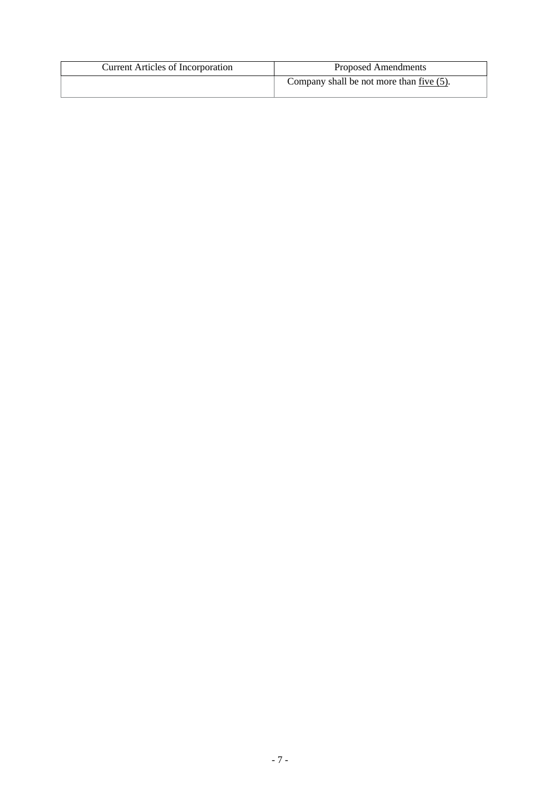| <b>Current Articles of Incorporation</b> | <b>Proposed Amendments</b>               |
|------------------------------------------|------------------------------------------|
|                                          | Company shall be not more than five (5). |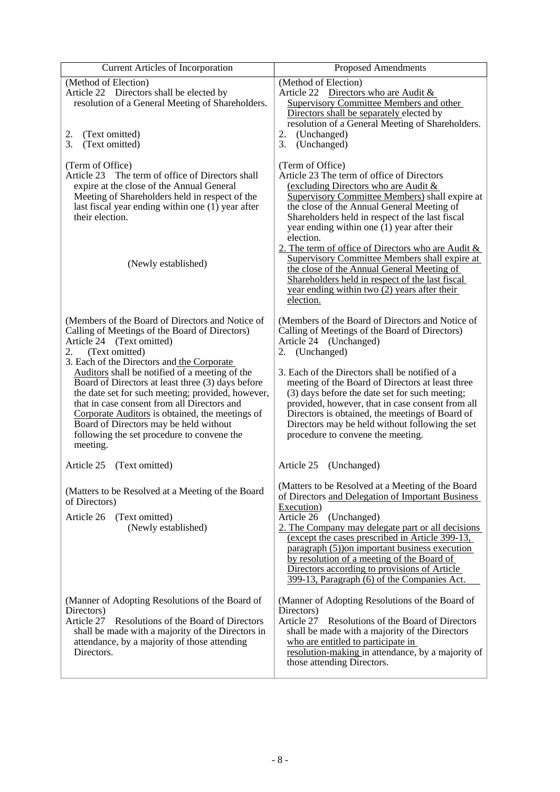| <b>Current Articles of Incorporation</b>                                                                                                                                                                                                                                                                                                                                                                                                                                                                                                                                | <b>Proposed Amendments</b>                                                                                                                                                                                                                                                                                                                                                                                                                                                                                                                                                                   |
|-------------------------------------------------------------------------------------------------------------------------------------------------------------------------------------------------------------------------------------------------------------------------------------------------------------------------------------------------------------------------------------------------------------------------------------------------------------------------------------------------------------------------------------------------------------------------|----------------------------------------------------------------------------------------------------------------------------------------------------------------------------------------------------------------------------------------------------------------------------------------------------------------------------------------------------------------------------------------------------------------------------------------------------------------------------------------------------------------------------------------------------------------------------------------------|
| (Method of Election)<br>Article 22 Directors shall be elected by<br>resolution of a General Meeting of Shareholders.                                                                                                                                                                                                                                                                                                                                                                                                                                                    | (Method of Election)<br>Article 22 Directors who are Audit $\&$<br><b>Supervisory Committee Members and other</b><br>Directors shall be separately elected by<br>resolution of a General Meeting of Shareholders.                                                                                                                                                                                                                                                                                                                                                                            |
| (Text omitted)<br>2.<br>3.<br>(Text omitted)                                                                                                                                                                                                                                                                                                                                                                                                                                                                                                                            | (Unchanged)<br>2.<br>3.<br>(Unchanged)                                                                                                                                                                                                                                                                                                                                                                                                                                                                                                                                                       |
| (Term of Office)<br>The term of office of Directors shall<br>Article 23<br>expire at the close of the Annual General<br>Meeting of Shareholders held in respect of the<br>last fiscal year ending within one (1) year after<br>their election.<br>(Newly established)                                                                                                                                                                                                                                                                                                   | (Term of Office)<br>Article 23 The term of office of Directors<br>(excluding Directors who are Audit &<br>Supervisory Committee Members) shall expire at<br>the close of the Annual General Meeting of<br>Shareholders held in respect of the last fiscal<br>year ending within one (1) year after their<br>election.<br>2. The term of office of Directors who are Audit &<br>Supervisory Committee Members shall expire at<br>the close of the Annual General Meeting of<br>Shareholders held in respect of the last fiscal<br>year ending within two $(2)$ years after their<br>election. |
| (Members of the Board of Directors and Notice of<br>Calling of Meetings of the Board of Directors)<br>Article 24 (Text omitted)<br>(Text omitted)<br>2.<br>3. Each of the Directors and the Corporate<br>Auditors shall be notified of a meeting of the<br>Board of Directors at least three (3) days before<br>the date set for such meeting; provided, however,<br>that in case consent from all Directors and<br>Corporate Auditors is obtained, the meetings of<br>Board of Directors may be held without<br>following the set procedure to convene the<br>meeting. | (Members of the Board of Directors and Notice of<br>Calling of Meetings of the Board of Directors)<br>Article 24 (Unchanged)<br>2. (Unchanged)<br>3. Each of the Directors shall be notified of a<br>meeting of the Board of Directors at least three<br>(3) days before the date set for such meeting;<br>provided, however, that in case consent from all<br>Directors is obtained, the meetings of Board of<br>Directors may be held without following the set<br>procedure to convene the meeting.                                                                                       |
| Article 25<br>(Text omitted)                                                                                                                                                                                                                                                                                                                                                                                                                                                                                                                                            | Article 25<br>(Unchanged)                                                                                                                                                                                                                                                                                                                                                                                                                                                                                                                                                                    |
| (Matters to be Resolved at a Meeting of the Board<br>of Directors)<br>Article 26<br>(Text omitted)<br>(Newly established)                                                                                                                                                                                                                                                                                                                                                                                                                                               | (Matters to be Resolved at a Meeting of the Board<br>of Directors and Delegation of Important Business<br>Execution)<br>Article 26<br>(Unchanged)<br>2. The Company may delegate part or all decisions<br>(except the cases prescribed in Article 399-13,<br>paragraph (5) on important business execution<br>by resolution of a meeting of the Board of<br>Directors according to provisions of Article<br>399-13, Paragraph (6) of the Companies Act.                                                                                                                                      |
| (Manner of Adopting Resolutions of the Board of<br>Directors)<br>Article 27 Resolutions of the Board of Directors<br>shall be made with a majority of the Directors in<br>attendance, by a majority of those attending<br>Directors.                                                                                                                                                                                                                                                                                                                                    | (Manner of Adopting Resolutions of the Board of<br>Directors)<br>Article 27<br>Resolutions of the Board of Directors<br>shall be made with a majority of the Directors<br>who are entitled to participate in<br>resolution-making in attendance, by a majority of<br>those attending Directors.                                                                                                                                                                                                                                                                                              |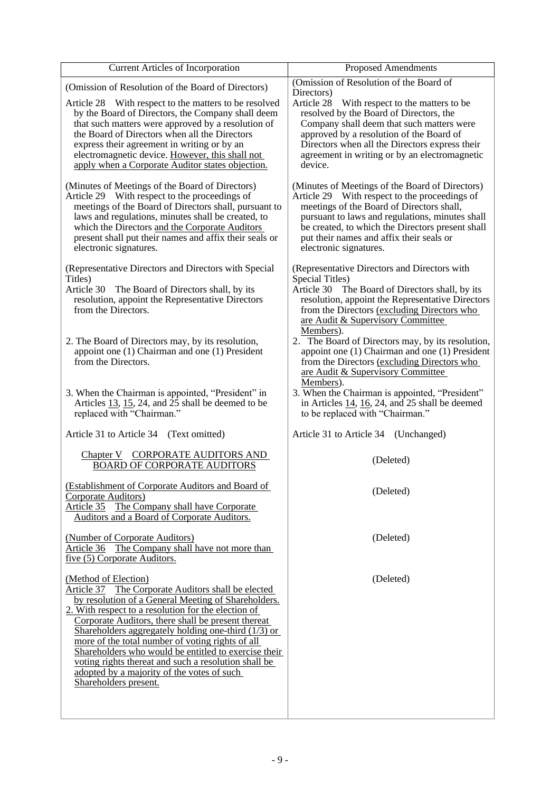| (Omission of Resolution of the Board of<br>Directors)                                                                                                                                                                                                                                                                      |
|----------------------------------------------------------------------------------------------------------------------------------------------------------------------------------------------------------------------------------------------------------------------------------------------------------------------------|
| Article 28<br>With respect to the matters to be.<br>resolved by the Board of Directors, the                                                                                                                                                                                                                                |
| Company shall deem that such matters were<br>approved by a resolution of the Board of<br>Directors when all the Directors express their<br>agreement in writing or by an electromagnetic<br>device.                                                                                                                        |
| (Minutes of Meetings of the Board of Directors)<br>Article 29 With respect to the proceedings of<br>meetings of the Board of Directors shall,<br>pursuant to laws and regulations, minutes shall<br>be created, to which the Directors present shall<br>put their names and affix their seals or<br>electronic signatures. |
| (Representative Directors and Directors with<br>Special Titles)<br>Article 30 The Board of Directors shall, by its<br>resolution, appoint the Representative Directors<br>from the Directors (excluding Directors who<br>are Audit & Supervisory Committee<br>Members).                                                    |
| 2. The Board of Directors may, by its resolution,<br>appoint one $(1)$ Chairman and one $(1)$ President<br>from the Directors (excluding Directors who<br>are Audit & Supervisory Committee<br>Members).                                                                                                                   |
| 3. When the Chairman is appointed, "President"<br>in Articles $14$ , $16$ , 24, and 25 shall be deemed<br>to be replaced with "Chairman."                                                                                                                                                                                  |
| Article 31 to Article 34<br>(Unchanged)                                                                                                                                                                                                                                                                                    |
| (Deleted)                                                                                                                                                                                                                                                                                                                  |
| (Deleted)                                                                                                                                                                                                                                                                                                                  |
| (Deleted)                                                                                                                                                                                                                                                                                                                  |
| (Deleted)                                                                                                                                                                                                                                                                                                                  |
|                                                                                                                                                                                                                                                                                                                            |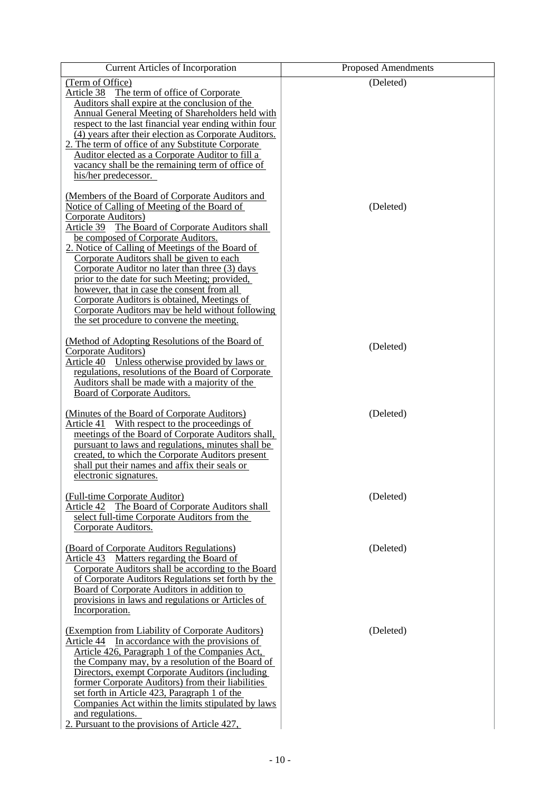| <b>Current Articles of Incorporation</b>                                                                                                                                                                                                                                                                                                                                                                                                                                                                                                                                                                           | <b>Proposed Amendments</b> |
|--------------------------------------------------------------------------------------------------------------------------------------------------------------------------------------------------------------------------------------------------------------------------------------------------------------------------------------------------------------------------------------------------------------------------------------------------------------------------------------------------------------------------------------------------------------------------------------------------------------------|----------------------------|
| (Term of Office)<br>Article 38 The term of office of Corporate<br>Auditors shall expire at the conclusion of the<br>Annual General Meeting of Shareholders held with<br>respect to the last financial year ending within four<br>(4) years after their election as Corporate Auditors.<br>2. The term of office of any Substitute Corporate                                                                                                                                                                                                                                                                        | (Deleted)                  |
| Auditor elected as a Corporate Auditor to fill a<br>vacancy shall be the remaining term of office of<br>his/her predecessor.                                                                                                                                                                                                                                                                                                                                                                                                                                                                                       |                            |
| (Members of the Board of Corporate Auditors and<br>Notice of Calling of Meeting of the Board of<br>Corporate Auditors)<br>Article 39 The Board of Corporate Auditors shall<br>be composed of Corporate Auditors.<br>2. Notice of Calling of Meetings of the Board of<br>Corporate Auditors shall be given to each<br>Corporate Auditor no later than three (3) days<br>prior to the date for such Meeting; provided,<br>however, that in case the consent from all<br>Corporate Auditors is obtained, Meetings of<br>Corporate Auditors may be held without following<br>the set procedure to convene the meeting. | (Deleted)                  |
| (Method of Adopting Resolutions of the Board of<br>Corporate Auditors)<br>Article 40 Unless otherwise provided by laws or<br>regulations, resolutions of the Board of Corporate<br>Auditors shall be made with a majority of the<br>Board of Corporate Auditors.                                                                                                                                                                                                                                                                                                                                                   | (Deleted)                  |
| (Minutes of the Board of Corporate Auditors)<br>Article 41 With respect to the proceedings of<br>meetings of the Board of Corporate Auditors shall,<br>pursuant to laws and regulations, minutes shall be<br>created, to which the Corporate Auditors present<br>shall put their names and affix their seals or<br>electronic signatures.                                                                                                                                                                                                                                                                          | (Deleted)                  |
| (Full-time Corporate Auditor)<br>Article 42 The Board of Corporate Auditors shall<br>select full-time Corporate Auditors from the<br>Corporate Auditors.                                                                                                                                                                                                                                                                                                                                                                                                                                                           | (Deleted)                  |
| (Board of Corporate Auditors Regulations)<br>Article 43 Matters regarding the Board of<br>Corporate Auditors shall be according to the Board<br>of Corporate Auditors Regulations set forth by the<br>Board of Corporate Auditors in addition to<br>provisions in laws and regulations or Articles of<br>Incorporation.                                                                                                                                                                                                                                                                                            | (Deleted)                  |
| (Exemption from Liability of Corporate Auditors)<br>In accordance with the provisions of<br>Article 44<br>Article 426, Paragraph 1 of the Companies Act,<br>the Company may, by a resolution of the Board of<br>Directors, exempt Corporate Auditors (including<br>former Corporate Auditors) from their liabilities<br>set forth in Article 423, Paragraph 1 of the<br>Companies Act within the limits stipulated by laws<br>and regulations.<br>2. Pursuant to the provisions of Article 427,                                                                                                                    | (Deleted)                  |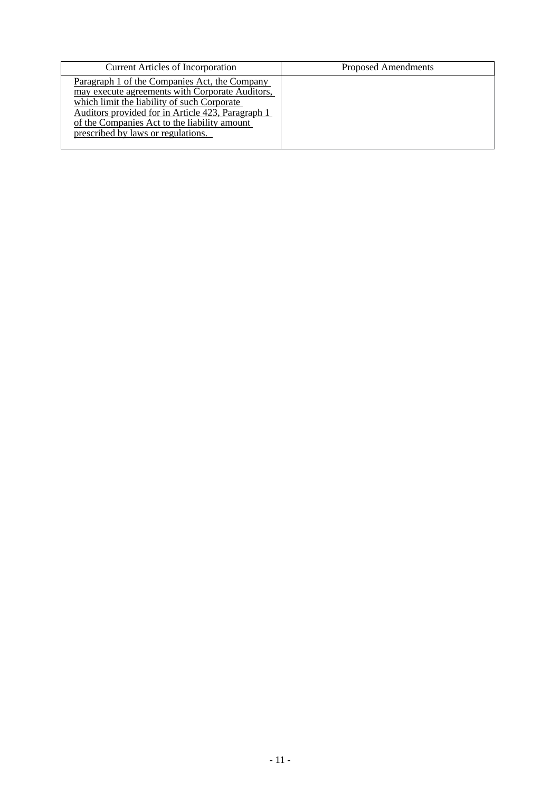| <b>Current Articles of Incorporation</b>                                                                                                                                                                                                                                                   | <b>Proposed Amendments</b> |
|--------------------------------------------------------------------------------------------------------------------------------------------------------------------------------------------------------------------------------------------------------------------------------------------|----------------------------|
| Paragraph 1 of the Companies Act, the Company<br>may execute agreements with Corporate Auditors,<br>which limit the liability of such Corporate<br>Auditors provided for in Article 423, Paragraph 1<br>of the Companies Act to the liability amount<br>prescribed by laws or regulations. |                            |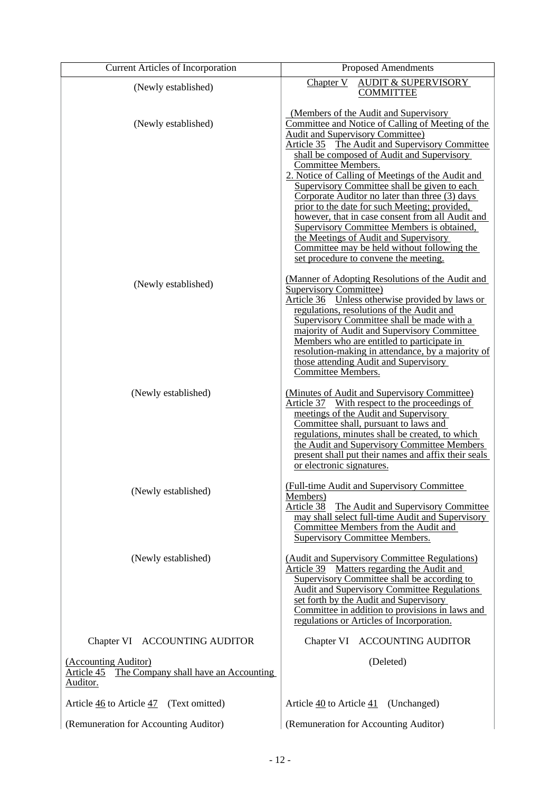| <b>Current Articles of Incorporation</b>                                            | <b>Proposed Amendments</b>                                                                                                                                                                                                                                                                                                                                                                                                                                                                                                                                                                                                                                                                              |
|-------------------------------------------------------------------------------------|---------------------------------------------------------------------------------------------------------------------------------------------------------------------------------------------------------------------------------------------------------------------------------------------------------------------------------------------------------------------------------------------------------------------------------------------------------------------------------------------------------------------------------------------------------------------------------------------------------------------------------------------------------------------------------------------------------|
| (Newly established)                                                                 | <b>AUDIT &amp; SUPERVISORY</b><br>Chapter V<br><b>COMMITTEE</b>                                                                                                                                                                                                                                                                                                                                                                                                                                                                                                                                                                                                                                         |
| (Newly established)                                                                 | (Members of the Audit and Supervisory)<br>Committee and Notice of Calling of Meeting of the<br><b>Audit and Supervisory Committee)</b><br>Article 35 The Audit and Supervisory Committee<br>shall be composed of Audit and Supervisory<br>Committee Members.<br>2. Notice of Calling of Meetings of the Audit and<br>Supervisory Committee shall be given to each<br>Corporate Auditor no later than three (3) days<br>prior to the date for such Meeting; provided,<br>however, that in case consent from all Audit and<br>Supervisory Committee Members is obtained,<br>the Meetings of Audit and Supervisory<br>Committee may be held without following the<br>set procedure to convene the meeting. |
| (Newly established)                                                                 | (Manner of Adopting Resolutions of the Audit and<br><b>Supervisory Committee)</b><br>Article 36 Unless otherwise provided by laws or<br>regulations, resolutions of the Audit and<br>Supervisory Committee shall be made with a<br>majority of Audit and Supervisory Committee<br>Members who are entitled to participate in<br>resolution-making in attendance, by a majority of<br>those attending Audit and Supervisory<br><b>Committee Members.</b>                                                                                                                                                                                                                                                 |
| (Newly established)                                                                 | (Minutes of Audit and Supervisory Committee)<br>Article 37 With respect to the proceedings of<br>meetings of the Audit and Supervisory<br>Committee shall, pursuant to laws and<br>regulations, minutes shall be created, to which<br>the Audit and Supervisory Committee Members<br>present shall put their names and affix their seals<br>or electronic signatures.                                                                                                                                                                                                                                                                                                                                   |
| (Newly established)                                                                 | (Full-time Audit and Supervisory Committee)<br>Members)<br>Article 38<br>The Audit and Supervisory Committee<br>may shall select full-time Audit and Supervisory<br>Committee Members from the Audit and<br><b>Supervisory Committee Members.</b>                                                                                                                                                                                                                                                                                                                                                                                                                                                       |
| (Newly established)                                                                 | (Audit and Supervisory Committee Regulations)<br>Matters regarding the Audit and<br>Article 39<br>Supervisory Committee shall be according to<br><b>Audit and Supervisory Committee Regulations</b><br>set forth by the Audit and Supervisory<br>Committee in addition to provisions in laws and<br>regulations or Articles of Incorporation.                                                                                                                                                                                                                                                                                                                                                           |
| Chapter VI ACCOUNTING AUDITOR                                                       | Chapter VI ACCOUNTING AUDITOR                                                                                                                                                                                                                                                                                                                                                                                                                                                                                                                                                                                                                                                                           |
| (Accounting Auditor)<br>Article 45 The Company shall have an Accounting<br>Auditor. | (Deleted)                                                                                                                                                                                                                                                                                                                                                                                                                                                                                                                                                                                                                                                                                               |
| Article 46 to Article 47 (Text omitted)                                             | Article 40 to Article 41 (Unchanged)                                                                                                                                                                                                                                                                                                                                                                                                                                                                                                                                                                                                                                                                    |
| (Remuneration for Accounting Auditor)                                               | (Remuneration for Accounting Auditor)                                                                                                                                                                                                                                                                                                                                                                                                                                                                                                                                                                                                                                                                   |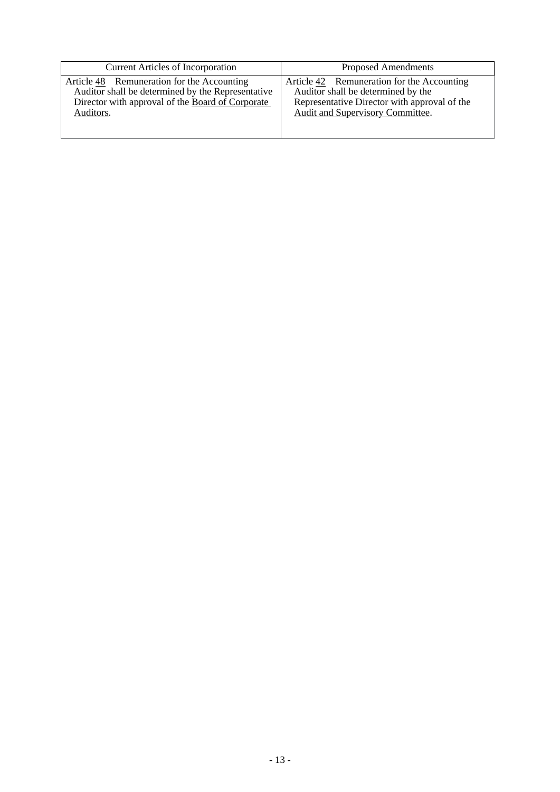| <b>Current Articles of Incorporation</b>          | <b>Proposed Amendments</b>                   |
|---------------------------------------------------|----------------------------------------------|
| Article 48 Remuneration for the Accounting        | Article 42 Remuneration for the Accounting   |
| Auditor shall be determined by the Representative | Auditor shall be determined by the           |
| Director with approval of the Board of Corporate  | Representative Director with approval of the |
| Auditors.                                         | Audit and Supervisory Committee.             |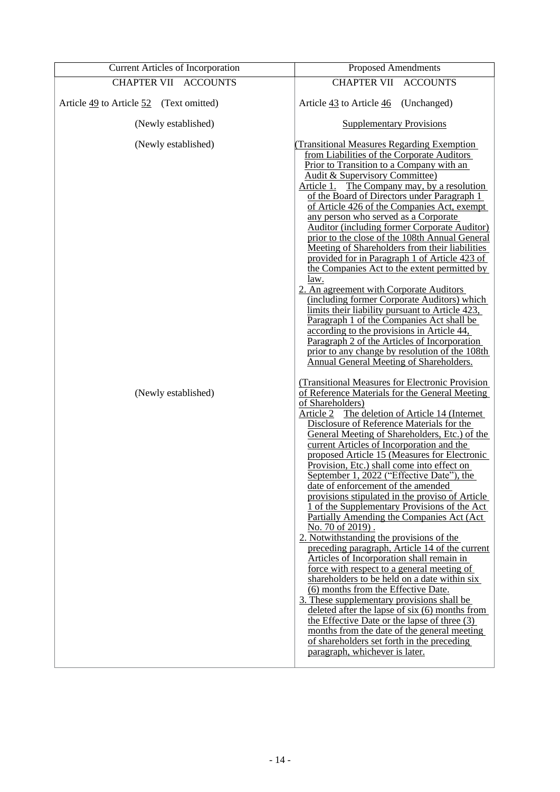| <b>Current Articles of Incorporation</b> | <b>Proposed Amendments</b>                                                                                                                                                                                                                                                                                                                                                                                                                                                                                                                                                                                                                                                                                                                                                                                                                                                                                                                                                                                                                                                                                                                                                                                                                    |  |  |
|------------------------------------------|-----------------------------------------------------------------------------------------------------------------------------------------------------------------------------------------------------------------------------------------------------------------------------------------------------------------------------------------------------------------------------------------------------------------------------------------------------------------------------------------------------------------------------------------------------------------------------------------------------------------------------------------------------------------------------------------------------------------------------------------------------------------------------------------------------------------------------------------------------------------------------------------------------------------------------------------------------------------------------------------------------------------------------------------------------------------------------------------------------------------------------------------------------------------------------------------------------------------------------------------------|--|--|
| <b>CHAPTER VII ACCOUNTS</b>              | <b>CHAPTER VII</b><br><b>ACCOUNTS</b>                                                                                                                                                                                                                                                                                                                                                                                                                                                                                                                                                                                                                                                                                                                                                                                                                                                                                                                                                                                                                                                                                                                                                                                                         |  |  |
| Article 49 to Article 52 (Text omitted)  | Article 43 to Article 46 (Unchanged)                                                                                                                                                                                                                                                                                                                                                                                                                                                                                                                                                                                                                                                                                                                                                                                                                                                                                                                                                                                                                                                                                                                                                                                                          |  |  |
| (Newly established)                      | <b>Supplementary Provisions</b>                                                                                                                                                                                                                                                                                                                                                                                                                                                                                                                                                                                                                                                                                                                                                                                                                                                                                                                                                                                                                                                                                                                                                                                                               |  |  |
| (Newly established)                      | <b>Transitional Measures Regarding Exemption</b><br>from Liabilities of the Corporate Auditors<br>Prior to Transition to a Company with an<br>Audit & Supervisory Committee)<br>Article 1. The Company may, by a resolution<br>of the Board of Directors under Paragraph 1<br>of Article 426 of the Companies Act, exempt<br>any person who served as a Corporate<br><b>Auditor (including former Corporate Auditor)</b><br>prior to the close of the 108th Annual General<br>Meeting of Shareholders from their liabilities<br>provided for in Paragraph 1 of Article 423 of<br>the Companies Act to the extent permitted by<br>law.<br>2. An agreement with Corporate Auditors<br>(including former Corporate Auditors) which<br>limits their liability pursuant to Article 423,<br>Paragraph 1 of the Companies Act shall be<br>according to the provisions in Article 44,<br>Paragraph 2 of the Articles of Incorporation<br>prior to any change by resolution of the 108th<br>Annual General Meeting of Shareholders.                                                                                                                                                                                                                    |  |  |
| (Newly established)                      | (Transitional Measures for Electronic Provision<br>of Reference Materials for the General Meeting<br>of Shareholders)<br>The deletion of Article 14 (Internet)<br>Article 2<br>Disclosure of Reference Materials for the<br>General Meeting of Shareholders, Etc.) of the<br>current Articles of Incorporation and the<br>proposed Article 15 (Measures for Electronic<br>Provision, Etc.) shall come into effect on<br>September 1, 2022 ("Effective Date"), the<br>date of enforcement of the amended<br>provisions stipulated in the proviso of Article<br>1 of the Supplementary Provisions of the Act<br>Partially Amending the Companies Act (Act)<br>No. 70 of 2019).<br>2. Notwithstanding the provisions of the<br>preceding paragraph, Article 14 of the current<br>Articles of Incorporation shall remain in<br>force with respect to a general meeting of<br>shareholders to be held on a date within six<br>(6) months from the Effective Date.<br>3. These supplementary provisions shall be<br>deleted after the lapse of six $(6)$ months from<br>the Effective Date or the lapse of three (3)<br>months from the date of the general meeting<br>of shareholders set forth in the preceding<br>paragraph, whichever is later. |  |  |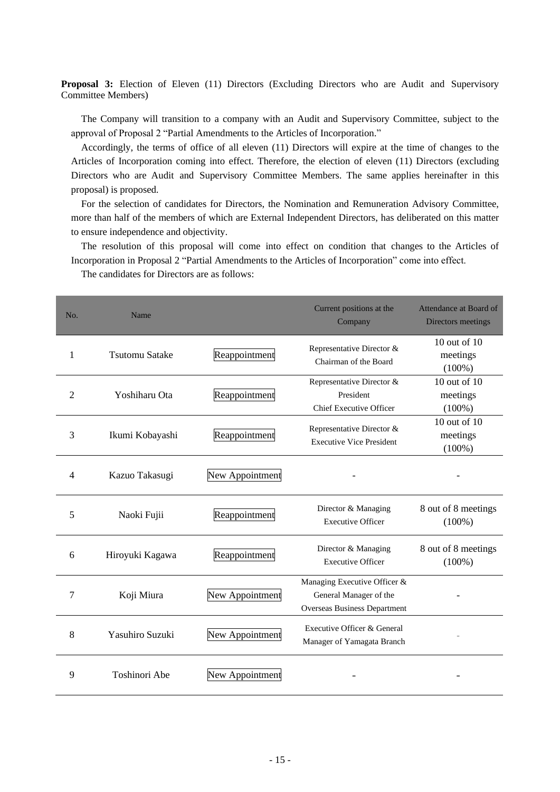**Proposal 3:** Election of Eleven (11) Directors (Excluding Directors who are Audit and Supervisory Committee Members)

The Company will transition to a company with an Audit and Supervisory Committee, subject to the approval of Proposal 2 "Partial Amendments to the Articles of Incorporation."

Accordingly, the terms of office of all eleven (11) Directors will expire at the time of changes to the Articles of Incorporation coming into effect. Therefore, the election of eleven (11) Directors (excluding Directors who are Audit and Supervisory Committee Members. The same applies hereinafter in this proposal) is proposed.

For the selection of candidates for Directors, the Nomination and Remuneration Advisory Committee, more than half of the members of which are External Independent Directors, has deliberated on this matter to ensure independence and objectivity.

The resolution of this proposal will come into effect on condition that changes to the Articles of Incorporation in Proposal 2 "Partial Amendments to the Articles of Incorporation" come into effect.

The candidates for Directors are as follows:

| No.          | Name                  |                 | Current positions at the<br>Company                                                    | Attendance at Board of<br>Directors meetings |
|--------------|-----------------------|-----------------|----------------------------------------------------------------------------------------|----------------------------------------------|
| $\mathbf{1}$ | <b>Tsutomu Satake</b> | Reappointment   | Representative Director &<br>Chairman of the Board                                     | 10 out of 10<br>meetings<br>$(100\%)$        |
| 2            | Yoshiharu Ota         | Reappointment   | Representative Director &<br>President<br>Chief Executive Officer                      | 10 out of $10$<br>meetings<br>$(100\%)$      |
| 3            | Ikumi Kobayashi       | Reappointment   | Representative Director &<br><b>Executive Vice President</b>                           | 10 out of 10<br>meetings<br>$(100\%)$        |
| 4            | Kazuo Takasugi        | New Appointment |                                                                                        |                                              |
| 5            | Naoki Fujii           | Reappointment   | Director & Managing<br><b>Executive Officer</b>                                        | 8 out of 8 meetings<br>$(100\%)$             |
| 6            | Hiroyuki Kagawa       | Reappointment   | Director & Managing<br><b>Executive Officer</b>                                        | 8 out of 8 meetings<br>$(100\%)$             |
| 7            | Koji Miura            | New Appointment | Managing Executive Officer &<br>General Manager of the<br>Overseas Business Department |                                              |
| 8            | Yasuhiro Suzuki       | New Appointment | Executive Officer & General<br>Manager of Yamagata Branch                              |                                              |
| 9            | <b>Toshinori Abe</b>  | New Appointment |                                                                                        |                                              |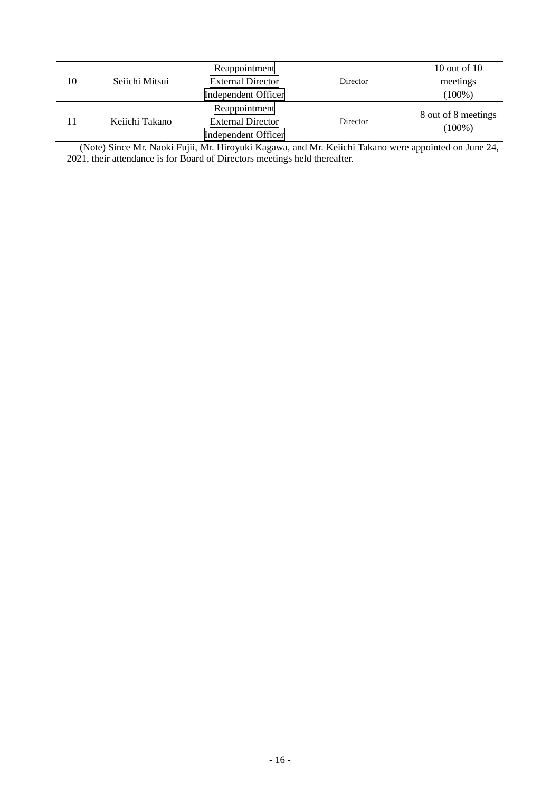|    |                | Reappointment              |          | 10 out of $10$      |
|----|----------------|----------------------------|----------|---------------------|
| 10 | Seiichi Mitsui | <b>External Director</b>   | Director | meetings            |
|    |                | <b>Independent Officer</b> |          | $(100\%)$           |
|    |                | Reappointment              |          |                     |
|    | Keiichi Takano | <b>External Director</b>   | Director | 8 out of 8 meetings |
|    |                | <b>Independent Officer</b> |          | $(100\%)$           |

(Note) Since Mr. Naoki Fujii, Mr. Hiroyuki Kagawa, and Mr. Keiichi Takano were appointed on June 24, 2021, their attendance is for Board of Directors meetings held thereafter.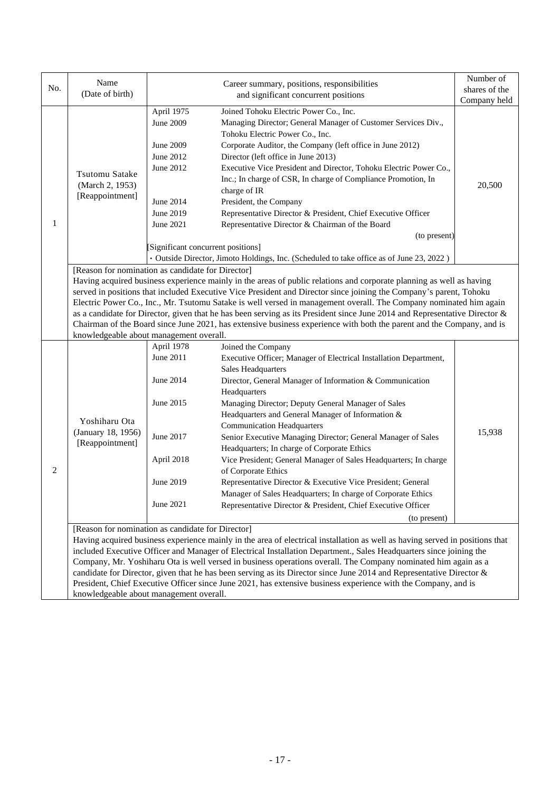| No. | Name<br>(Date of birth)                                                                                                                                                                                                                                                                                                                                                                                                                                                                                                                                                                                                                                                                                                            | Career summary, positions, responsibilities<br>and significant concurrent positions                                                                                                                                                                                                                                                                                                                                                                                                                                                                                                                                                                                                                                                                                                                                                                          | Number of<br>shares of the<br>Company held |  |  |
|-----|------------------------------------------------------------------------------------------------------------------------------------------------------------------------------------------------------------------------------------------------------------------------------------------------------------------------------------------------------------------------------------------------------------------------------------------------------------------------------------------------------------------------------------------------------------------------------------------------------------------------------------------------------------------------------------------------------------------------------------|--------------------------------------------------------------------------------------------------------------------------------------------------------------------------------------------------------------------------------------------------------------------------------------------------------------------------------------------------------------------------------------------------------------------------------------------------------------------------------------------------------------------------------------------------------------------------------------------------------------------------------------------------------------------------------------------------------------------------------------------------------------------------------------------------------------------------------------------------------------|--------------------------------------------|--|--|
| 1   | Tsutomu Satake<br>(March 2, 1953)<br>[Reappointment]                                                                                                                                                                                                                                                                                                                                                                                                                                                                                                                                                                                                                                                                               | Joined Tohoku Electric Power Co., Inc.<br>April 1975<br>Managing Director; General Manager of Customer Services Div.,<br><b>June 2009</b><br>Tohoku Electric Power Co., Inc.<br>Corporate Auditor, the Company (left office in June 2012)<br>June 2009<br>June 2012<br>Director (left office in June 2013)<br>Executive Vice President and Director, Tohoku Electric Power Co.,<br>June 2012<br>Inc.; In charge of CSR, In charge of Compliance Promotion, In<br>charge of IR<br>President, the Company<br>June 2014<br>Representative Director & President, Chief Executive Officer<br>June 2019<br>Representative Director & Chairman of the Board<br>June 2021                                                                                                                                                                                            | 20,500                                     |  |  |
|     |                                                                                                                                                                                                                                                                                                                                                                                                                                                                                                                                                                                                                                                                                                                                    | [Significant concurrent positions]<br>· Outside Director, Jimoto Holdings, Inc. (Scheduled to take office as of June 23, 2022)                                                                                                                                                                                                                                                                                                                                                                                                                                                                                                                                                                                                                                                                                                                               | (to present)                               |  |  |
|     | [Reason for nomination as candidate for Director]<br>Having acquired business experience mainly in the areas of public relations and corporate planning as well as having<br>served in positions that included Executive Vice President and Director since joining the Company's parent, Tohoku<br>Electric Power Co., Inc., Mr. Tsutomu Satake is well versed in management overall. The Company nominated him again<br>as a candidate for Director, given that he has been serving as its President since June 2014 and Representative Director &<br>Chairman of the Board since June 2021, has extensive business experience with both the parent and the Company, and is<br>knowledgeable about management overall.            |                                                                                                                                                                                                                                                                                                                                                                                                                                                                                                                                                                                                                                                                                                                                                                                                                                                              |                                            |  |  |
| 2   | Yoshiharu Ota<br>(January 18, 1956)<br>[Reappointment]                                                                                                                                                                                                                                                                                                                                                                                                                                                                                                                                                                                                                                                                             | April 1978<br>Joined the Company<br>June 2011<br>Executive Officer; Manager of Electrical Installation Department,<br>Sales Headquarters<br>June 2014<br>Director, General Manager of Information & Communication<br>Headquarters<br>June 2015<br>Managing Director; Deputy General Manager of Sales<br>Headquarters and General Manager of Information &<br><b>Communication Headquarters</b><br>June 2017<br>Senior Executive Managing Director; General Manager of Sales<br>Headquarters; In charge of Corporate Ethics<br>April 2018<br>Vice President; General Manager of Sales Headquarters; In charge<br>of Corporate Ethics<br>June 2019<br>Representative Director & Executive Vice President; General<br>Manager of Sales Headquarters; In charge of Corporate Ethics<br>June 2021<br>Representative Director & President, Chief Executive Officer | 15,938                                     |  |  |
|     | (to present)<br>[Reason for nomination as candidate for Director]<br>Having acquired business experience mainly in the area of electrical installation as well as having served in positions that<br>included Executive Officer and Manager of Electrical Installation Department., Sales Headquarters since joining the<br>Company, Mr. Yoshiharu Ota is well versed in business operations overall. The Company nominated him again as a<br>candidate for Director, given that he has been serving as its Director since June 2014 and Representative Director $\&$<br>President, Chief Executive Officer since June 2021, has extensive business experience with the Company, and is<br>knowledgeable about management overall. |                                                                                                                                                                                                                                                                                                                                                                                                                                                                                                                                                                                                                                                                                                                                                                                                                                                              |                                            |  |  |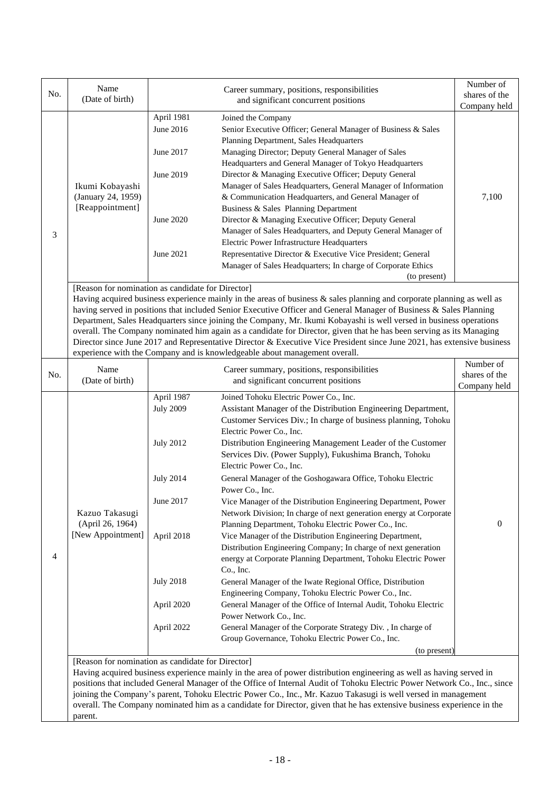| No. | Name                                              |                  | Career summary, positions, responsibilities<br>and significant concurrent positions                                       | Number of<br>shares of the    |
|-----|---------------------------------------------------|------------------|---------------------------------------------------------------------------------------------------------------------------|-------------------------------|
|     | (Date of birth)                                   |                  | Company held                                                                                                              |                               |
|     |                                                   | April 1981       | Joined the Company                                                                                                        |                               |
|     |                                                   | June 2016        | Senior Executive Officer; General Manager of Business & Sales                                                             |                               |
|     |                                                   |                  | Planning Department, Sales Headquarters                                                                                   |                               |
|     |                                                   | June 2017        | Managing Director; Deputy General Manager of Sales                                                                        |                               |
|     |                                                   |                  | Headquarters and General Manager of Tokyo Headquarters                                                                    |                               |
|     |                                                   | June 2019        | Director & Managing Executive Officer; Deputy General                                                                     |                               |
|     | Ikumi Kobayashi                                   |                  | Manager of Sales Headquarters, General Manager of Information                                                             |                               |
|     | (January 24, 1959)                                |                  | & Communication Headquarters, and General Manager of                                                                      | 7,100                         |
|     | [Reappointment]                                   |                  | Business & Sales Planning Department                                                                                      |                               |
|     |                                                   | June 2020        | Director & Managing Executive Officer; Deputy General                                                                     |                               |
| 3   |                                                   |                  | Manager of Sales Headquarters, and Deputy General Manager of                                                              |                               |
|     |                                                   |                  | Electric Power Infrastructure Headquarters                                                                                |                               |
|     |                                                   | June 2021        | Representative Director & Executive Vice President; General                                                               |                               |
|     |                                                   |                  | Manager of Sales Headquarters; In charge of Corporate Ethics                                                              |                               |
|     |                                                   |                  | (to present)                                                                                                              |                               |
|     | [Reason for nomination as candidate for Director] |                  | Having acquired business experience mainly in the areas of business $\&$ sales planning and corporate planning as well as |                               |
|     |                                                   |                  | having served in positions that included Senior Executive Officer and General Manager of Business & Sales Planning        |                               |
|     |                                                   |                  | Department, Sales Headquarters since joining the Company, Mr. Ikumi Kobayashi is well versed in business operations       |                               |
|     |                                                   |                  | overall. The Company nominated him again as a candidate for Director, given that he has been serving as its Managing      |                               |
|     |                                                   |                  | Director since June 2017 and Representative Director & Executive Vice President since June 2021, has extensive business   |                               |
|     |                                                   |                  | experience with the Company and is knowledgeable about management overall.                                                |                               |
|     | Name                                              |                  | Career summary, positions, responsibilities                                                                               | Number of                     |
| No. | (Date of birth)                                   |                  | and significant concurrent positions                                                                                      | shares of the<br>Company held |
|     |                                                   | April 1987       | Joined Tohoku Electric Power Co., Inc.                                                                                    |                               |
|     |                                                   | <b>July 2009</b> | Assistant Manager of the Distribution Engineering Department,                                                             |                               |
|     |                                                   |                  | Customer Services Div.; In charge of business planning, Tohoku                                                            |                               |
|     |                                                   |                  | Electric Power Co., Inc.                                                                                                  |                               |
|     |                                                   | <b>July 2012</b> | Distribution Engineering Management Leader of the Customer                                                                |                               |
|     |                                                   |                  | Services Div. (Power Supply), Fukushima Branch, Tohoku                                                                    |                               |
|     |                                                   |                  | Electric Power Co., Inc.                                                                                                  |                               |
|     |                                                   | <b>July 2014</b> | General Manager of the Goshogawara Office, Tohoku Electric                                                                |                               |
|     |                                                   |                  | Power Co., Inc.                                                                                                           |                               |
|     |                                                   | June 2017        | Vice Manager of the Distribution Engineering Department, Power                                                            |                               |
|     | Kazuo Takasugi                                    |                  | Network Division; In charge of next generation energy at Corporate                                                        |                               |
|     | (April 26, 1964)                                  |                  | Planning Department, Tohoku Electric Power Co., Inc.                                                                      | $\mathbf{0}$                  |
|     | [New Appointment]                                 | April 2018       | Vice Manager of the Distribution Engineering Department,                                                                  |                               |
| 4   |                                                   |                  | Distribution Engineering Company; In charge of next generation                                                            |                               |
|     |                                                   |                  | energy at Corporate Planning Department, Tohoku Electric Power                                                            |                               |
|     |                                                   | <b>July 2018</b> | Co., Inc.                                                                                                                 |                               |
|     |                                                   |                  | General Manager of the Iwate Regional Office, Distribution<br>Engineering Company, Tohoku Electric Power Co., Inc.        |                               |
|     |                                                   | April 2020       | General Manager of the Office of Internal Audit, Tohoku Electric                                                          |                               |
|     |                                                   |                  | Power Network Co., Inc.                                                                                                   |                               |
|     |                                                   | April 2022       | General Manager of the Corporate Strategy Div., In charge of                                                              |                               |
|     |                                                   |                  | Group Governance, Tohoku Electric Power Co., Inc.                                                                         |                               |
|     |                                                   |                  | (to present)                                                                                                              |                               |
|     | [Reason for nomination as candidate for Director] |                  |                                                                                                                           |                               |
|     |                                                   |                  | Having acquired business experience mainly in the area of power distribution engineering as well as having served in      |                               |
|     |                                                   |                  | positions that included General Manager of the Office of Internal Audit of Tohoku Electric Power Network Co., Inc., since |                               |
|     |                                                   |                  | joining the Company's parent, Tohoku Electric Power Co., Inc., Mr. Kazuo Takasugi is well versed in management            |                               |
|     |                                                   |                  | overall. The Company nominated him as a candidate for Director, given that he has extensive business experience in the    |                               |
|     | parent.                                           |                  |                                                                                                                           |                               |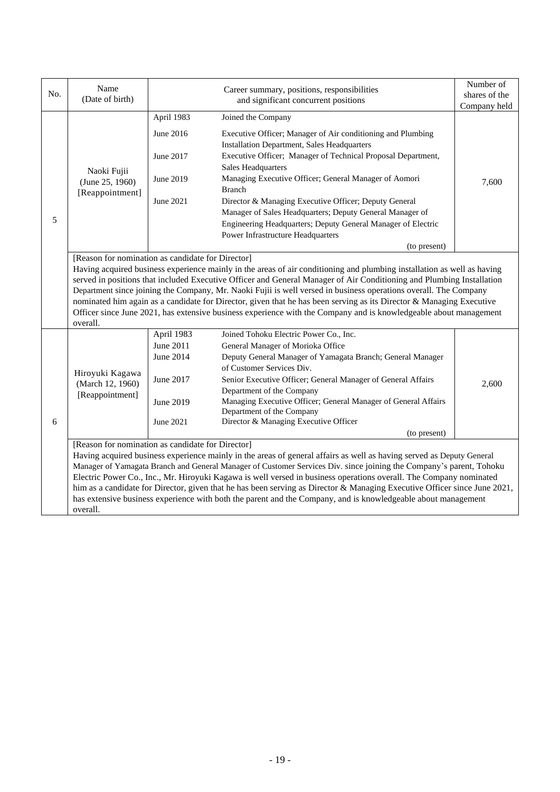| No. | Name<br>(Date of birth)                                                                                                                                                                                                                                                                                                                                                                                                                                                                             |                                                                             | Career summary, positions, responsibilities<br>and significant concurrent positions                                                                                                                                                                                                                                                                                                                                                                                                                                                                                                                               | Number of<br>shares of the<br>Company held |  |
|-----|-----------------------------------------------------------------------------------------------------------------------------------------------------------------------------------------------------------------------------------------------------------------------------------------------------------------------------------------------------------------------------------------------------------------------------------------------------------------------------------------------------|-----------------------------------------------------------------------------|-------------------------------------------------------------------------------------------------------------------------------------------------------------------------------------------------------------------------------------------------------------------------------------------------------------------------------------------------------------------------------------------------------------------------------------------------------------------------------------------------------------------------------------------------------------------------------------------------------------------|--------------------------------------------|--|
|     |                                                                                                                                                                                                                                                                                                                                                                                                                                                                                                     | April 1983                                                                  | Joined the Company                                                                                                                                                                                                                                                                                                                                                                                                                                                                                                                                                                                                |                                            |  |
| 5   | Naoki Fujii<br>(June 25, 1960)<br>[Reappointment]                                                                                                                                                                                                                                                                                                                                                                                                                                                   | June 2016<br>June 2017<br>June 2019<br>June 2021                            | Executive Officer; Manager of Air conditioning and Plumbing<br><b>Installation Department, Sales Headquarters</b><br>Executive Officer; Manager of Technical Proposal Department,<br><b>Sales Headquarters</b><br>Managing Executive Officer; General Manager of Aomori<br><b>Branch</b><br>Director & Managing Executive Officer; Deputy General<br>Manager of Sales Headquarters; Deputy General Manager of<br>Engineering Headquarters; Deputy General Manager of Electric                                                                                                                                     | 7,600                                      |  |
|     |                                                                                                                                                                                                                                                                                                                                                                                                                                                                                                     |                                                                             | Power Infrastructure Headquarters                                                                                                                                                                                                                                                                                                                                                                                                                                                                                                                                                                                 |                                            |  |
|     | [Reason for nomination as candidate for Director]                                                                                                                                                                                                                                                                                                                                                                                                                                                   |                                                                             | (to present)                                                                                                                                                                                                                                                                                                                                                                                                                                                                                                                                                                                                      |                                            |  |
|     | overall.                                                                                                                                                                                                                                                                                                                                                                                                                                                                                            |                                                                             | Having acquired business experience mainly in the areas of air conditioning and plumbing installation as well as having<br>served in positions that included Executive Officer and General Manager of Air Conditioning and Plumbing Installation<br>Department since joining the Company, Mr. Naoki Fujii is well versed in business operations overall. The Company<br>nominated him again as a candidate for Director, given that he has been serving as its Director & Managing Executive<br>Officer since June 2021, has extensive business experience with the Company and is knowledgeable about management |                                            |  |
| 6   | Hiroyuki Kagawa<br>(March 12, 1960)<br>[Reappointment]<br>[Reason for nomination as candidate for Director]                                                                                                                                                                                                                                                                                                                                                                                         | April 1983<br>June 2011<br>June 2014<br>June 2017<br>June 2019<br>June 2021 | Joined Tohoku Electric Power Co., Inc.<br>General Manager of Morioka Office<br>Deputy General Manager of Yamagata Branch; General Manager<br>of Customer Services Div.<br>Senior Executive Officer; General Manager of General Affairs<br>Department of the Company<br>Managing Executive Officer; General Manager of General Affairs<br>Department of the Company<br>Director & Managing Executive Officer<br>(to present)<br>Having acquired business experience mainly in the areas of general affairs as well as having served as Deputy General                                                              | 2,600                                      |  |
|     | Manager of Yamagata Branch and General Manager of Customer Services Div. since joining the Company's parent, Tohoku<br>Electric Power Co., Inc., Mr. Hiroyuki Kagawa is well versed in business operations overall. The Company nominated<br>him as a candidate for Director, given that he has been serving as Director & Managing Executive Officer since June 2021,<br>has extensive business experience with both the parent and the Company, and is knowledgeable about management<br>overall. |                                                                             |                                                                                                                                                                                                                                                                                                                                                                                                                                                                                                                                                                                                                   |                                            |  |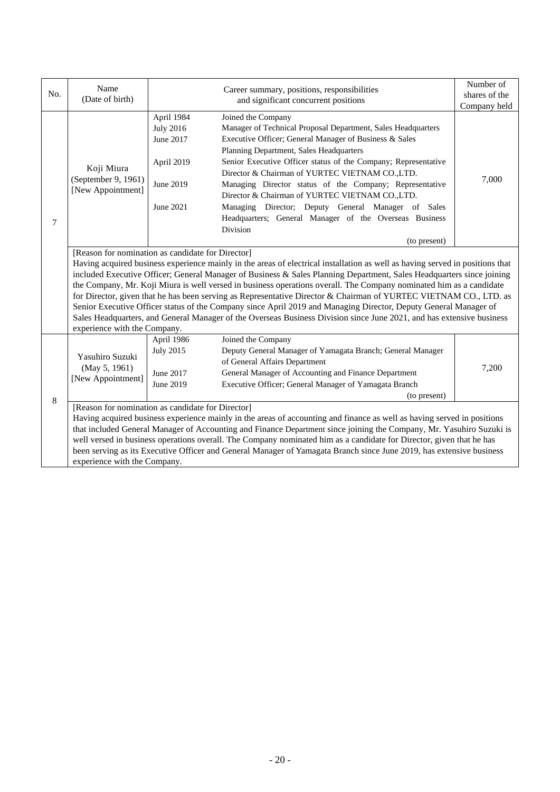|     | Name<br>Career summary, positions, responsibilities                                                                                                                                                                                                                                                                                                                                                                                                                                                                                                                                                                                                                                                                                                                                                                                  |                                                                                                                                                                                                                                                                                                                                                                                                                                                                                                                                                                                                                                                           | Number of     |  |
|-----|--------------------------------------------------------------------------------------------------------------------------------------------------------------------------------------------------------------------------------------------------------------------------------------------------------------------------------------------------------------------------------------------------------------------------------------------------------------------------------------------------------------------------------------------------------------------------------------------------------------------------------------------------------------------------------------------------------------------------------------------------------------------------------------------------------------------------------------|-----------------------------------------------------------------------------------------------------------------------------------------------------------------------------------------------------------------------------------------------------------------------------------------------------------------------------------------------------------------------------------------------------------------------------------------------------------------------------------------------------------------------------------------------------------------------------------------------------------------------------------------------------------|---------------|--|
| No. | (Date of birth)                                                                                                                                                                                                                                                                                                                                                                                                                                                                                                                                                                                                                                                                                                                                                                                                                      | and significant concurrent positions                                                                                                                                                                                                                                                                                                                                                                                                                                                                                                                                                                                                                      | shares of the |  |
|     |                                                                                                                                                                                                                                                                                                                                                                                                                                                                                                                                                                                                                                                                                                                                                                                                                                      |                                                                                                                                                                                                                                                                                                                                                                                                                                                                                                                                                                                                                                                           | Company held  |  |
| 7   | Koji Miura<br>(September 9, 1961)<br>[New Appointment]                                                                                                                                                                                                                                                                                                                                                                                                                                                                                                                                                                                                                                                                                                                                                                               | April 1984<br>Joined the Company<br><b>July 2016</b><br>Manager of Technical Proposal Department, Sales Headquarters<br>June 2017<br>Executive Officer; General Manager of Business & Sales<br>Planning Department, Sales Headquarters<br>April 2019<br>Senior Executive Officer status of the Company; Representative<br>Director & Chairman of YURTEC VIETNAM COLTD.<br>June 2019<br>Managing Director status of the Company; Representative<br>Director & Chairman of YURTEC VIETNAM CO.,LTD.<br>June 2021<br>Managing Director; Deputy General Manager of Sales<br>Headquarters; General Manager of the Overseas Business<br>Division<br>(to present) | 7,000         |  |
|     | [Reason for nomination as candidate for Director]<br>Having acquired business experience mainly in the areas of electrical installation as well as having served in positions that<br>included Executive Officer; General Manager of Business & Sales Planning Department, Sales Headquarters since joining<br>the Company, Mr. Koji Miura is well versed in business operations overall. The Company nominated him as a candidate<br>for Director, given that he has been serving as Representative Director & Chairman of YURTEC VIETNAM CO., LTD. as<br>Senior Executive Officer status of the Company since April 2019 and Managing Director, Deputy General Manager of<br>Sales Headquarters, and General Manager of the Overseas Business Division since June 2021, and has extensive business<br>experience with the Company. |                                                                                                                                                                                                                                                                                                                                                                                                                                                                                                                                                                                                                                                           |               |  |
| 8   | Yasuhiro Suzuki<br>(May 5, 1961)<br>[New Appointment]                                                                                                                                                                                                                                                                                                                                                                                                                                                                                                                                                                                                                                                                                                                                                                                | April 1986<br>Joined the Company<br><b>July 2015</b><br>Deputy General Manager of Yamagata Branch; General Manager<br>of General Affairs Department<br>June 2017<br>General Manager of Accounting and Finance Department<br>June 2019<br>Executive Officer; General Manager of Yamagata Branch<br>(to present)                                                                                                                                                                                                                                                                                                                                            | 7,200         |  |
|     | experience with the Company.                                                                                                                                                                                                                                                                                                                                                                                                                                                                                                                                                                                                                                                                                                                                                                                                         | [Reason for nomination as candidate for Director]<br>Having acquired business experience mainly in the areas of accounting and finance as well as having served in positions<br>that included General Manager of Accounting and Finance Department since joining the Company, Mr. Yasuhiro Suzuki is<br>well versed in business operations overall. The Company nominated him as a candidate for Director, given that he has<br>been serving as its Executive Officer and General Manager of Yamagata Branch since June 2019, has extensive business                                                                                                      |               |  |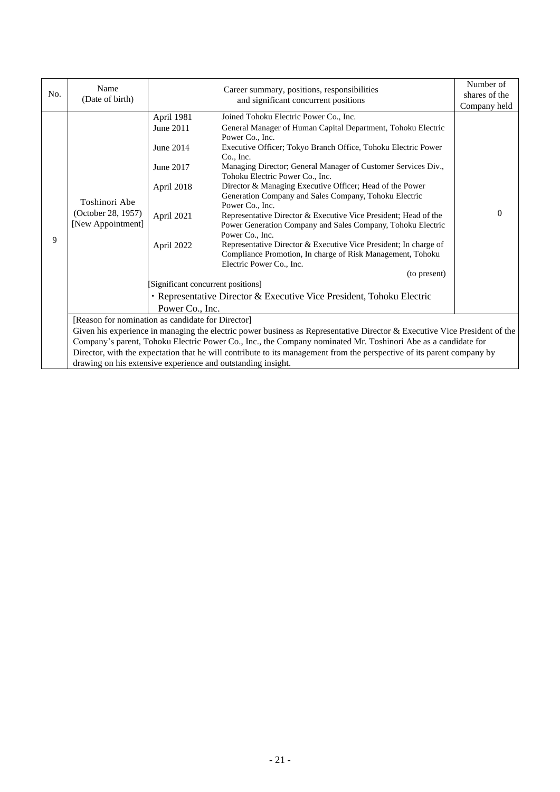| No. | Name                                                     |                                                                                                                                   | Career summary, positions, responsibilities                                                                                                                                                                                                                                                                                                                                                                                                                                                                                                                                                                                                                                                                                                                                                                                                                      | Number of                     |
|-----|----------------------------------------------------------|-----------------------------------------------------------------------------------------------------------------------------------|------------------------------------------------------------------------------------------------------------------------------------------------------------------------------------------------------------------------------------------------------------------------------------------------------------------------------------------------------------------------------------------------------------------------------------------------------------------------------------------------------------------------------------------------------------------------------------------------------------------------------------------------------------------------------------------------------------------------------------------------------------------------------------------------------------------------------------------------------------------|-------------------------------|
|     | (Date of birth)                                          |                                                                                                                                   | and significant concurrent positions                                                                                                                                                                                                                                                                                                                                                                                                                                                                                                                                                                                                                                                                                                                                                                                                                             | shares of the<br>Company held |
| 9   | Toshinori Abe<br>(October 28, 1957)<br>[New Appointment] | April 1981<br>June 2011<br>June 2014<br>June 2017<br>April 2018<br>April 2021<br>April 2022<br>[Significant concurrent positions] | Joined Tohoku Electric Power Co., Inc.<br>General Manager of Human Capital Department, Tohoku Electric<br>Power Co., Inc.<br>Executive Officer; Tokyo Branch Office, Tohoku Electric Power<br>$Co.$ Inc.<br>Managing Director; General Manager of Customer Services Div.,<br>Tohoku Electric Power Co., Inc.<br>Director & Managing Executive Officer; Head of the Power<br>Generation Company and Sales Company, Tohoku Electric<br>Power Co., Inc.<br>Representative Director & Executive Vice President; Head of the<br>Power Generation Company and Sales Company, Tohoku Electric<br>Power Co., Inc.<br>Representative Director & Executive Vice President; In charge of<br>Compliance Promotion, In charge of Risk Management, Tohoku<br>Electric Power Co., Inc.<br>(to present)<br>• Representative Director & Executive Vice President, Tohoku Electric | $\Omega$                      |
|     |                                                          | Power Co., Inc.                                                                                                                   |                                                                                                                                                                                                                                                                                                                                                                                                                                                                                                                                                                                                                                                                                                                                                                                                                                                                  |                               |
|     |                                                          | [Reason for nomination as candidate for Director]                                                                                 |                                                                                                                                                                                                                                                                                                                                                                                                                                                                                                                                                                                                                                                                                                                                                                                                                                                                  |                               |
|     |                                                          |                                                                                                                                   | Given his experience in managing the electric power business as Representative Director & Executive Vice President of the                                                                                                                                                                                                                                                                                                                                                                                                                                                                                                                                                                                                                                                                                                                                        |                               |
|     |                                                          |                                                                                                                                   | Company's parent, Tohoku Electric Power Co., Inc., the Company nominated Mr. Toshinori Abe as a candidate for                                                                                                                                                                                                                                                                                                                                                                                                                                                                                                                                                                                                                                                                                                                                                    |                               |
|     |                                                          |                                                                                                                                   | Director, with the expectation that he will contribute to its management from the perspective of its parent company by                                                                                                                                                                                                                                                                                                                                                                                                                                                                                                                                                                                                                                                                                                                                           |                               |
|     |                                                          | drawing on his extensive experience and outstanding insight.                                                                      |                                                                                                                                                                                                                                                                                                                                                                                                                                                                                                                                                                                                                                                                                                                                                                                                                                                                  |                               |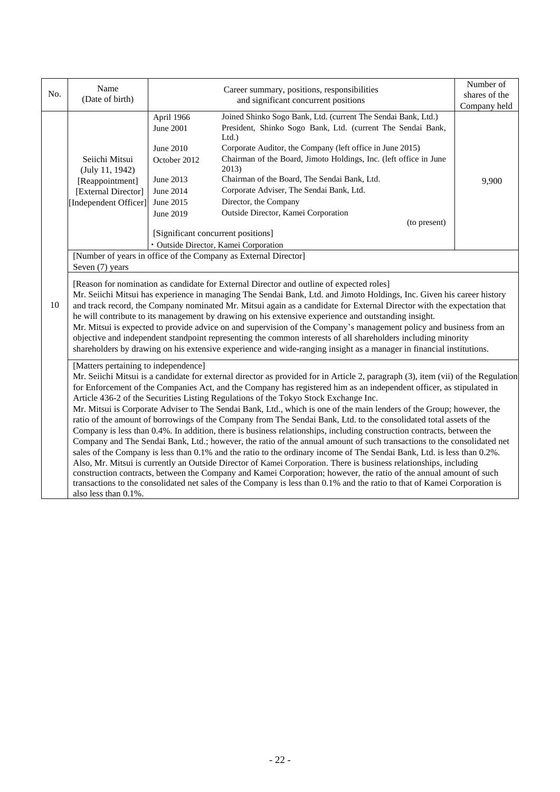|     | Name                                                                                                                                                                                                                                                                                                                                                                                                                                                                                                                                                                                                                                                                                                                                                                                                                                                                                                                                                                                                                                                                                                                                                                                                                                                                                                                                                                                                                       | Career summary, positions, responsibilities                                                                                                                                                                                                                                                                                                                                                                                                                                                                                                                                                                                                                   | Number of     |  |  |  |
|-----|----------------------------------------------------------------------------------------------------------------------------------------------------------------------------------------------------------------------------------------------------------------------------------------------------------------------------------------------------------------------------------------------------------------------------------------------------------------------------------------------------------------------------------------------------------------------------------------------------------------------------------------------------------------------------------------------------------------------------------------------------------------------------------------------------------------------------------------------------------------------------------------------------------------------------------------------------------------------------------------------------------------------------------------------------------------------------------------------------------------------------------------------------------------------------------------------------------------------------------------------------------------------------------------------------------------------------------------------------------------------------------------------------------------------------|---------------------------------------------------------------------------------------------------------------------------------------------------------------------------------------------------------------------------------------------------------------------------------------------------------------------------------------------------------------------------------------------------------------------------------------------------------------------------------------------------------------------------------------------------------------------------------------------------------------------------------------------------------------|---------------|--|--|--|
| No. | (Date of birth)                                                                                                                                                                                                                                                                                                                                                                                                                                                                                                                                                                                                                                                                                                                                                                                                                                                                                                                                                                                                                                                                                                                                                                                                                                                                                                                                                                                                            | and significant concurrent positions                                                                                                                                                                                                                                                                                                                                                                                                                                                                                                                                                                                                                          | shares of the |  |  |  |
|     |                                                                                                                                                                                                                                                                                                                                                                                                                                                                                                                                                                                                                                                                                                                                                                                                                                                                                                                                                                                                                                                                                                                                                                                                                                                                                                                                                                                                                            |                                                                                                                                                                                                                                                                                                                                                                                                                                                                                                                                                                                                                                                               | Company held  |  |  |  |
|     | Seiichi Mitsui<br>(July 11, 1942)<br>[Reappointment]<br>[External Director]<br>[Independent Officer]                                                                                                                                                                                                                                                                                                                                                                                                                                                                                                                                                                                                                                                                                                                                                                                                                                                                                                                                                                                                                                                                                                                                                                                                                                                                                                                       | Joined Shinko Sogo Bank, Ltd. (current The Sendai Bank, Ltd.)<br>April 1966<br>President, Shinko Sogo Bank, Ltd. (current The Sendai Bank,<br><b>June 2001</b><br>Ltd.<br>Corporate Auditor, the Company (left office in June 2015)<br>June 2010<br>Chairman of the Board, Jimoto Holdings, Inc. (left office in June<br>October 2012<br>2013)<br>Chairman of the Board, The Sendai Bank, Ltd.<br>June 2013<br>Corporate Adviser, The Sendai Bank, Ltd.<br>June 2014<br>Director, the Company<br>June 2015<br>Outside Director, Kamei Corporation<br>June 2019<br>(to present)<br>[Significant concurrent positions]<br>· Outside Director, Kamei Corporation | 9,900         |  |  |  |
|     | [Number of years in office of the Company as External Director]<br>Seven (7) years                                                                                                                                                                                                                                                                                                                                                                                                                                                                                                                                                                                                                                                                                                                                                                                                                                                                                                                                                                                                                                                                                                                                                                                                                                                                                                                                         |                                                                                                                                                                                                                                                                                                                                                                                                                                                                                                                                                                                                                                                               |               |  |  |  |
| 10  | [Reason for nomination as candidate for External Director and outline of expected roles]<br>Mr. Seiichi Mitsui has experience in managing The Sendai Bank, Ltd. and Jimoto Holdings, Inc. Given his career history<br>and track record, the Company nominated Mr. Mitsui again as a candidate for External Director with the expectation that<br>he will contribute to its management by drawing on his extensive experience and outstanding insight.<br>Mr. Mitsui is expected to provide advice on and supervision of the Company's management policy and business from an<br>objective and independent standpoint representing the common interests of all shareholders including minority<br>shareholders by drawing on his extensive experience and wide-ranging insight as a manager in financial institutions.                                                                                                                                                                                                                                                                                                                                                                                                                                                                                                                                                                                                      |                                                                                                                                                                                                                                                                                                                                                                                                                                                                                                                                                                                                                                                               |               |  |  |  |
|     | [Matters pertaining to independence]<br>Mr. Seiichi Mitsui is a candidate for external director as provided for in Article 2, paragraph (3), item (vii) of the Regulation<br>for Enforcement of the Companies Act, and the Company has registered him as an independent officer, as stipulated in<br>Article 436-2 of the Securities Listing Regulations of the Tokyo Stock Exchange Inc.<br>Mr. Mitsui is Corporate Adviser to The Sendai Bank, Ltd., which is one of the main lenders of the Group; however, the<br>ratio of the amount of borrowings of the Company from The Sendai Bank, Ltd. to the consolidated total assets of the<br>Company is less than 0.4%. In addition, there is business relationships, including construction contracts, between the<br>Company and The Sendai Bank, Ltd.; however, the ratio of the annual amount of such transactions to the consolidated net<br>sales of the Company is less than 0.1% and the ratio to the ordinary income of The Sendai Bank, Ltd. is less than 0.2%.<br>Also, Mr. Mitsui is currently an Outside Director of Kamei Corporation. There is business relationships, including<br>construction contracts, between the Company and Kamei Corporation; however, the ratio of the annual amount of such<br>transactions to the consolidated net sales of the Company is less than 0.1% and the ratio to that of Kamei Corporation is<br>also less than 0.1%. |                                                                                                                                                                                                                                                                                                                                                                                                                                                                                                                                                                                                                                                               |               |  |  |  |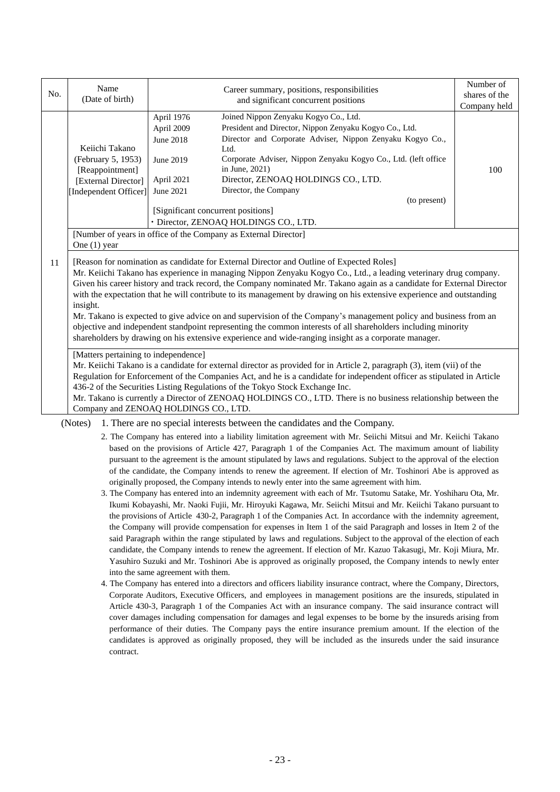| No. | Name<br>(Date of birth)                                                                                                                                                                                                                                                                                                                                                                                                                                                                                                                                                                                                                                                                                                                                                                                                  | Career summary, positions, responsibilities<br>and significant concurrent positions                                                                                                                                                                                                                                                                                                                                                                                                                                    |  | Number of<br>shares of the<br>Company held |  |  |  |
|-----|--------------------------------------------------------------------------------------------------------------------------------------------------------------------------------------------------------------------------------------------------------------------------------------------------------------------------------------------------------------------------------------------------------------------------------------------------------------------------------------------------------------------------------------------------------------------------------------------------------------------------------------------------------------------------------------------------------------------------------------------------------------------------------------------------------------------------|------------------------------------------------------------------------------------------------------------------------------------------------------------------------------------------------------------------------------------------------------------------------------------------------------------------------------------------------------------------------------------------------------------------------------------------------------------------------------------------------------------------------|--|--------------------------------------------|--|--|--|
|     | Keiichi Takano<br>(February 5, 1953)<br>[Reappointment]<br>[External Director]<br>[Independent Officer]                                                                                                                                                                                                                                                                                                                                                                                                                                                                                                                                                                                                                                                                                                                  | Joined Nippon Zenyaku Kogyo Co., Ltd.<br>April 1976<br>President and Director, Nippon Zenyaku Kogyo Co., Ltd.<br>April 2009<br>Director and Corporate Adviser, Nippon Zenyaku Kogyo Co.,<br><b>June 2018</b><br>Ltd.<br>Corporate Adviser, Nippon Zenyaku Kogyo Co., Ltd. (left office<br>June 2019<br>in June, 2021)<br>100<br>Director, ZENOAQ HOLDINGS CO., LTD.<br>April 2021<br>Director, the Company<br>June 2021<br>(to present)<br>[Significant concurrent positions]<br>· Director, ZENOAQ HOLDINGS CO., LTD. |  |                                            |  |  |  |
|     | [Number of years in office of the Company as External Director]<br>One $(1)$ year                                                                                                                                                                                                                                                                                                                                                                                                                                                                                                                                                                                                                                                                                                                                        |                                                                                                                                                                                                                                                                                                                                                                                                                                                                                                                        |  |                                            |  |  |  |
| 11  | [Reason for nomination as candidate for External Director and Outline of Expected Roles]<br>Mr. Keiichi Takano has experience in managing Nippon Zenyaku Kogyo Co., Ltd., a leading veterinary drug company.<br>Given his career history and track record, the Company nominated Mr. Takano again as a candidate for External Director<br>with the expectation that he will contribute to its management by drawing on his extensive experience and outstanding<br>insight.<br>Mr. Takano is expected to give advice on and supervision of the Company's management policy and business from an<br>objective and independent standpoint representing the common interests of all shareholders including minority<br>shareholders by drawing on his extensive experience and wide-ranging insight as a corporate manager. |                                                                                                                                                                                                                                                                                                                                                                                                                                                                                                                        |  |                                            |  |  |  |
|     | [Matters pertaining to independence]<br>Mr. Keiichi Takano is a candidate for external director as provided for in Article 2, paragraph (3), item (vii) of the<br>Regulation for Enforcement of the Companies Act, and he is a candidate for independent officer as stipulated in Article<br>436-2 of the Securities Listing Regulations of the Tokyo Stock Exchange Inc.<br>Mr. Takano is currently a Director of ZENOAQ HOLDINGS CO., LTD. There is no business relationship between the<br>Company and ZENOAQ HOLDINGS CO., LTD.                                                                                                                                                                                                                                                                                      |                                                                                                                                                                                                                                                                                                                                                                                                                                                                                                                        |  |                                            |  |  |  |

(Notes) 1. There are no special interests between the candidates and the Company.

- 2. The Company has entered into a liability limitation agreement with Mr. Seiichi Mitsui and Mr. Keiichi Takano based on the provisions of Article 427, Paragraph 1 of the Companies Act. The maximum amount of liability pursuant to the agreement is the amount stipulated by laws and regulations. Subject to the approval of the election of the candidate, the Company intends to renew the agreement. If election of Mr. Toshinori Abe is approved as originally proposed, the Company intends to newly enter into the same agreement with him.
- 3. The Company has entered into an indemnity agreement with each of Mr. Tsutomu Satake, Mr. Yoshiharu Ota, Mr. Ikumi Kobayashi, Mr. Naoki Fujii, Mr. Hiroyuki Kagawa, Mr. Seiichi Mitsui and Mr. Keiichi Takano pursuant to the provisions of Article 430-2, Paragraph 1 of the Companies Act. In accordance with the indemnity agreement, the Company will provide compensation for expenses in Item 1 of the said Paragraph and losses in Item 2 of the said Paragraph within the range stipulated by laws and regulations. Subject to the approval of the election of each candidate, the Company intends to renew the agreement. If election of Mr. Kazuo Takasugi, Mr. Koji Miura, Mr. Yasuhiro Suzuki and Mr. Toshinori Abe is approved as originally proposed, the Company intends to newly enter into the same agreement with them.
- 4. The Company has entered into a directors and officers liability insurance contract, where the Company, Directors, Corporate Auditors, Executive Officers, and employees in management positions are the insureds, stipulated in Article 430-3, Paragraph 1 of the Companies Act with an insurance company. The said insurance contract will cover damages including compensation for damages and legal expenses to be borne by the insureds arising from performance of their duties. The Company pays the entire insurance premium amount. If the election of the candidates is approved as originally proposed, they will be included as the insureds under the said insurance contract.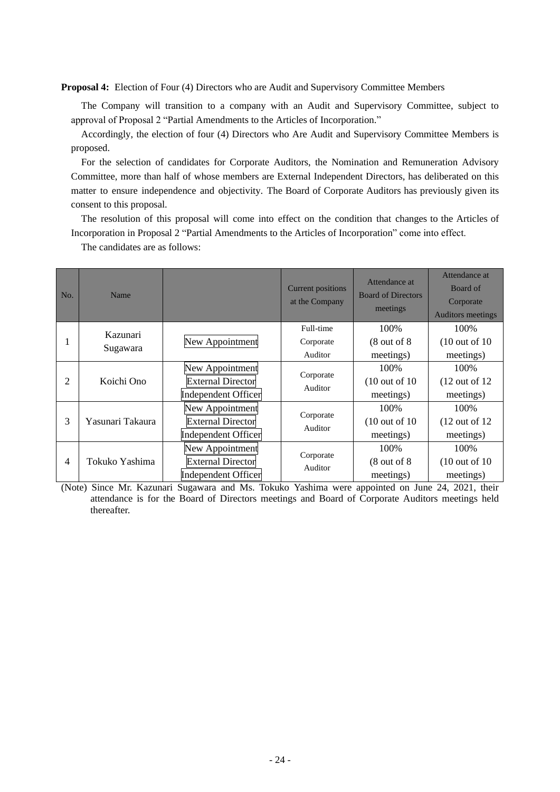**Proposal 4:** Election of Four (4) Directors who are Audit and Supervisory Committee Members

The Company will transition to a company with an Audit and Supervisory Committee, subject to approval of Proposal 2 "Partial Amendments to the Articles of Incorporation."

Accordingly, the election of four (4) Directors who Are Audit and Supervisory Committee Members is proposed.

For the selection of candidates for Corporate Auditors, the Nomination and Remuneration Advisory Committee, more than half of whose members are External Independent Directors, has deliberated on this matter to ensure independence and objectivity. The Board of Corporate Auditors has previously given its consent to this proposal.

The resolution of this proposal will come into effect on the condition that changes to the Articles of Incorporation in Proposal 2 "Partial Amendments to the Articles of Incorporation" come into effect.

The candidates are as follows:

| No.            | Name                 |                                                                           | <b>Current positions</b><br>at the Company | Attendance at<br><b>Board of Directors</b><br>meetings | Attendance at<br>Board of<br>Corporate<br><b>Auditors meetings</b> |
|----------------|----------------------|---------------------------------------------------------------------------|--------------------------------------------|--------------------------------------------------------|--------------------------------------------------------------------|
|                | Kazunari<br>Sugawara | New Appointment                                                           | Full-time<br>Corporate<br>Auditor          | 100%<br>$(8 \text{ out of } 8)$<br>meetings)           | 100%<br>$(10 \text{ out of } 10)$<br>meetings)                     |
| 2              | Koichi Ono           | New Appointment<br><b>External Director</b><br><b>Independent Officer</b> | Corporate<br>Auditor                       | 100\%<br>$(10 \text{ out of } 10)$<br>meetings)        | 100\%<br>$(12 \text{ out of } 12)$<br>meetings)                    |
| 3              | Yasunari Takaura     | New Appointment<br><b>External Director</b><br><b>Independent Officer</b> | Corporate<br>Auditor                       | 100\%<br>$(10 \text{ out of } 10)$<br>meetings)        | 100%<br>$(12 \text{ out of } 12)$<br>meetings)                     |
| $\overline{4}$ | Tokuko Yashima       | New Appointment<br><b>External Director</b><br><b>Independent Officer</b> | Corporate<br>Auditor                       | 100%<br>$(8$ out of $8$<br>meetings)                   | 100%<br>$(10 \text{ out of } 10)$<br>meetings)                     |

(Note) Since Mr. Kazunari Sugawara and Ms. Tokuko Yashima were appointed on June 24, 2021, their attendance is for the Board of Directors meetings and Board of Corporate Auditors meetings held thereafter.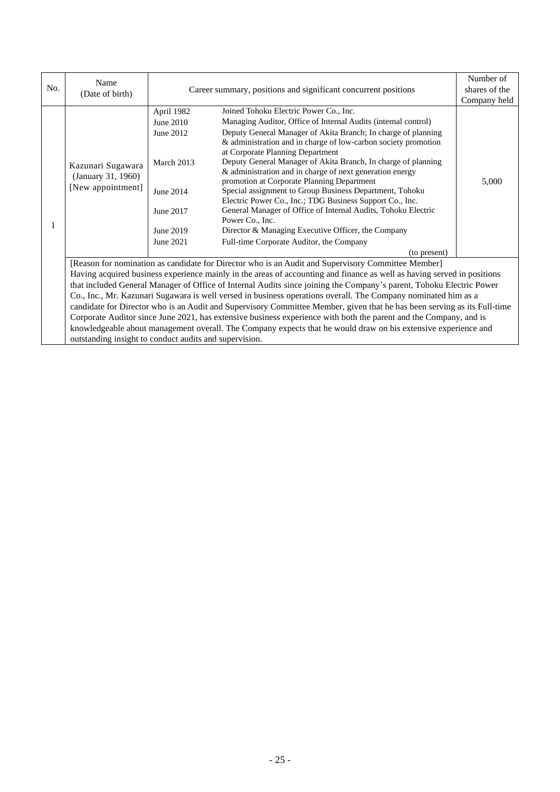| No.                                                                                                            | Name<br>(Date of birth)                                                                                              | Career summary, positions and significant concurrent positions |                                                                                                                          | Number of<br>shares of the |  |
|----------------------------------------------------------------------------------------------------------------|----------------------------------------------------------------------------------------------------------------------|----------------------------------------------------------------|--------------------------------------------------------------------------------------------------------------------------|----------------------------|--|
|                                                                                                                |                                                                                                                      |                                                                |                                                                                                                          | Company held               |  |
|                                                                                                                |                                                                                                                      | April 1982                                                     | Joined Tohoku Electric Power Co., Inc.                                                                                   |                            |  |
|                                                                                                                |                                                                                                                      | June 2010                                                      | Managing Auditor, Office of Internal Audits (internal control)                                                           |                            |  |
|                                                                                                                |                                                                                                                      | June 2012                                                      | Deputy General Manager of Akita Branch; In charge of planning                                                            |                            |  |
|                                                                                                                |                                                                                                                      |                                                                | & administration and in charge of low-carbon society promotion                                                           |                            |  |
|                                                                                                                |                                                                                                                      |                                                                | at Corporate Planning Department                                                                                         |                            |  |
|                                                                                                                | Kazunari Sugawara                                                                                                    | March 2013                                                     | Deputy General Manager of Akita Branch, In charge of planning                                                            |                            |  |
|                                                                                                                | (January 31, 1960)                                                                                                   |                                                                | & administration and in charge of next generation energy                                                                 |                            |  |
|                                                                                                                | [New appointment]                                                                                                    |                                                                | promotion at Corporate Planning Department                                                                               | 5,000                      |  |
|                                                                                                                |                                                                                                                      | June 2014                                                      | Special assignment to Group Business Department, Tohoku                                                                  |                            |  |
|                                                                                                                |                                                                                                                      |                                                                | Electric Power Co., Inc.; TDG Business Support Co., Inc.                                                                 |                            |  |
|                                                                                                                |                                                                                                                      | June 2017                                                      | General Manager of Office of Internal Audits, Tohoku Electric                                                            |                            |  |
|                                                                                                                |                                                                                                                      |                                                                | Power Co., Inc.                                                                                                          |                            |  |
|                                                                                                                |                                                                                                                      | June 2019                                                      | Director & Managing Executive Officer, the Company                                                                       |                            |  |
|                                                                                                                |                                                                                                                      | June 2021                                                      | Full-time Corporate Auditor, the Company                                                                                 |                            |  |
|                                                                                                                |                                                                                                                      |                                                                | (to present)                                                                                                             |                            |  |
|                                                                                                                |                                                                                                                      |                                                                | [Reason for nomination as candidate for Director who is an Audit and Supervisory Committee Member]                       |                            |  |
|                                                                                                                |                                                                                                                      |                                                                | Having acquired business experience mainly in the areas of accounting and finance as well as having served in positions  |                            |  |
|                                                                                                                | that included General Manager of Office of Internal Audits since joining the Company's parent, Tohoku Electric Power |                                                                |                                                                                                                          |                            |  |
| Co., Inc., Mr. Kazunari Sugawara is well versed in business operations overall. The Company nominated him as a |                                                                                                                      |                                                                |                                                                                                                          |                            |  |
|                                                                                                                |                                                                                                                      |                                                                | candidate for Director who is an Audit and Supervisory Committee Member, given that he has been serving as its Full-time |                            |  |
|                                                                                                                |                                                                                                                      |                                                                | Corporate Auditor since June 2021, has extensive business experience with both the parent and the Company, and is        |                            |  |
|                                                                                                                |                                                                                                                      |                                                                | knowledgeable about management overall. The Company expects that he would draw on his extensive experience and           |                            |  |
|                                                                                                                | outstanding insight to conduct audits and supervision.                                                               |                                                                |                                                                                                                          |                            |  |

outstanding insight to conduct audits and supervision.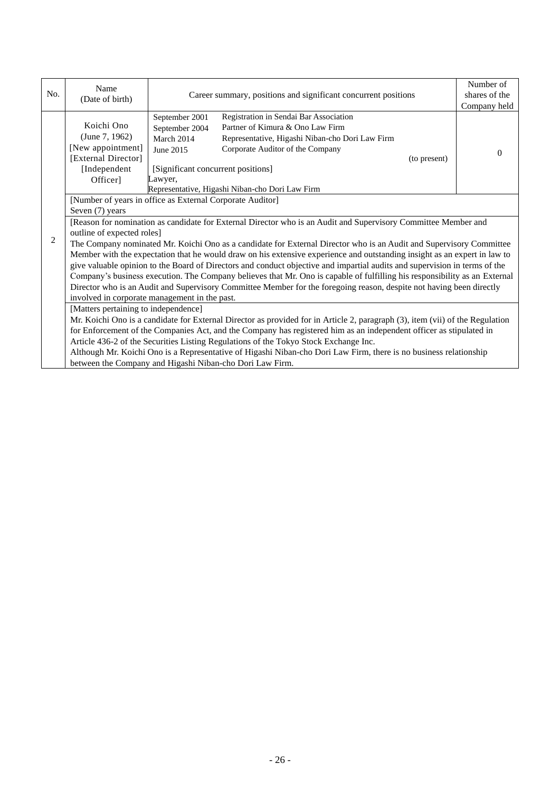| No.                                                                                                                           | Name                                                                                                                                                                                                        | Career summary, positions and significant concurrent positions                                                                                                                                                                                                                                                                       |              | Number of<br>shares of the |  |  |  |
|-------------------------------------------------------------------------------------------------------------------------------|-------------------------------------------------------------------------------------------------------------------------------------------------------------------------------------------------------------|--------------------------------------------------------------------------------------------------------------------------------------------------------------------------------------------------------------------------------------------------------------------------------------------------------------------------------------|--------------|----------------------------|--|--|--|
|                                                                                                                               | (Date of birth)                                                                                                                                                                                             |                                                                                                                                                                                                                                                                                                                                      | Company held |                            |  |  |  |
|                                                                                                                               | Koichi Ono<br>(June 7, 1962)<br>[New appointment]<br>[External Director]<br>[Independent<br>Officer]                                                                                                        | Registration in Sendai Bar Association<br>September 2001<br>Partner of Kimura & Ono Law Firm<br>September 2004<br>Representative, Higashi Niban-cho Dori Law Firm<br>March 2014<br>Corporate Auditor of the Company<br>June 2015<br>[Significant concurrent positions]<br>Lawyer,<br>Representative, Higashi Niban-cho Dori Law Firm | (to present) | $\Omega$                   |  |  |  |
|                                                                                                                               | [Number of years in office as External Corporate Auditor]                                                                                                                                                   |                                                                                                                                                                                                                                                                                                                                      |              |                            |  |  |  |
|                                                                                                                               | Seven (7) years                                                                                                                                                                                             |                                                                                                                                                                                                                                                                                                                                      |              |                            |  |  |  |
|                                                                                                                               | [Reason for nomination as candidate for External Director who is an Audit and Supervisory Committee Member and<br>outline of expected roles]                                                                |                                                                                                                                                                                                                                                                                                                                      |              |                            |  |  |  |
| 2                                                                                                                             | The Company nominated Mr. Koichi Ono as a candidate for External Director who is an Audit and Supervisory Committee                                                                                         |                                                                                                                                                                                                                                                                                                                                      |              |                            |  |  |  |
|                                                                                                                               | Member with the expectation that he would draw on his extensive experience and outstanding insight as an expert in law to                                                                                   |                                                                                                                                                                                                                                                                                                                                      |              |                            |  |  |  |
|                                                                                                                               | give valuable opinion to the Board of Directors and conduct objective and impartial audits and supervision in terms of the                                                                                  |                                                                                                                                                                                                                                                                                                                                      |              |                            |  |  |  |
|                                                                                                                               | Company's business execution. The Company believes that Mr. Ono is capable of fulfilling his responsibility as an External                                                                                  |                                                                                                                                                                                                                                                                                                                                      |              |                            |  |  |  |
|                                                                                                                               | Director who is an Audit and Supervisory Committee Member for the foregoing reason, despite not having been directly                                                                                        |                                                                                                                                                                                                                                                                                                                                      |              |                            |  |  |  |
|                                                                                                                               | involved in corporate management in the past.                                                                                                                                                               |                                                                                                                                                                                                                                                                                                                                      |              |                            |  |  |  |
|                                                                                                                               | [Matters pertaining to independence]                                                                                                                                                                        |                                                                                                                                                                                                                                                                                                                                      |              |                            |  |  |  |
| Mr. Koichi Ono is a candidate for External Director as provided for in Article 2, paragraph (3), item (vii) of the Regulation |                                                                                                                                                                                                             |                                                                                                                                                                                                                                                                                                                                      |              |                            |  |  |  |
|                                                                                                                               | for Enforcement of the Companies Act, and the Company has registered him as an independent officer as stipulated in<br>Article 436-2 of the Securities Listing Regulations of the Tokyo Stock Exchange Inc. |                                                                                                                                                                                                                                                                                                                                      |              |                            |  |  |  |
|                                                                                                                               | Although Mr. Koichi Ono is a Representative of Higashi Niban-cho Dori Law Firm, there is no business relationship                                                                                           |                                                                                                                                                                                                                                                                                                                                      |              |                            |  |  |  |
|                                                                                                                               | between the Company and Higashi Niban-cho Dori Law Firm.                                                                                                                                                    |                                                                                                                                                                                                                                                                                                                                      |              |                            |  |  |  |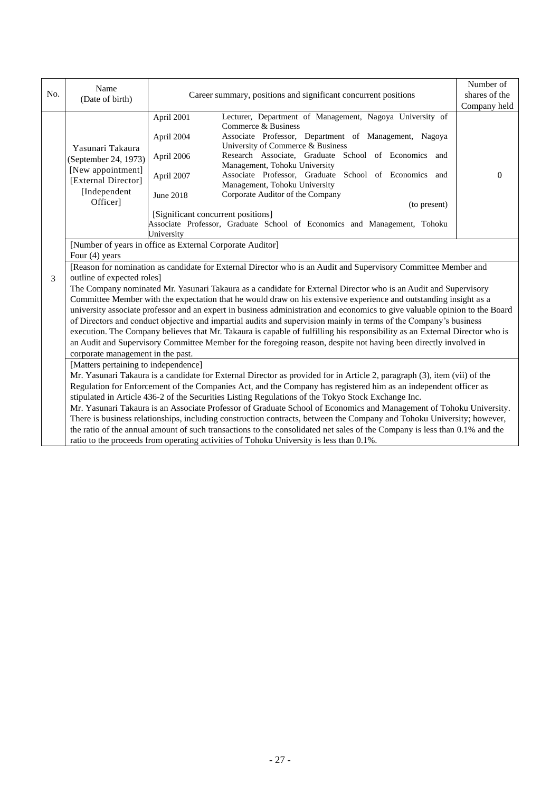| No. | Name<br>(Date of birth)                                                                                                                                                                                                                                                                                                                                                                                                                                                                                                                                                                               | Career summary, positions and significant concurrent positions | Number of<br>shares of the                                                                                                               |          |  |  |  |
|-----|-------------------------------------------------------------------------------------------------------------------------------------------------------------------------------------------------------------------------------------------------------------------------------------------------------------------------------------------------------------------------------------------------------------------------------------------------------------------------------------------------------------------------------------------------------------------------------------------------------|----------------------------------------------------------------|------------------------------------------------------------------------------------------------------------------------------------------|----------|--|--|--|
|     |                                                                                                                                                                                                                                                                                                                                                                                                                                                                                                                                                                                                       |                                                                | Company held                                                                                                                             |          |  |  |  |
|     | Yasunari Takaura<br>(September 24, 1973)<br>[New appointment]<br>[External Director]                                                                                                                                                                                                                                                                                                                                                                                                                                                                                                                  | April 2001                                                     | Lecturer, Department of Management, Nagoya University of<br>Commerce & Business<br>Associate Professor, Department of Management, Nagoya |          |  |  |  |
|     |                                                                                                                                                                                                                                                                                                                                                                                                                                                                                                                                                                                                       | April 2004                                                     | University of Commerce & Business                                                                                                        |          |  |  |  |
|     |                                                                                                                                                                                                                                                                                                                                                                                                                                                                                                                                                                                                       | April 2006                                                     | Research Associate, Graduate School of Economics and<br>Management, Tohoku University                                                    |          |  |  |  |
|     |                                                                                                                                                                                                                                                                                                                                                                                                                                                                                                                                                                                                       | April 2007                                                     | Associate Professor, Graduate School of Economics and<br>Management, Tohoku University                                                   | $\Omega$ |  |  |  |
|     | [Independent                                                                                                                                                                                                                                                                                                                                                                                                                                                                                                                                                                                          | June 2018                                                      | Corporate Auditor of the Company                                                                                                         |          |  |  |  |
|     | Officer]                                                                                                                                                                                                                                                                                                                                                                                                                                                                                                                                                                                              |                                                                | (to present)                                                                                                                             |          |  |  |  |
|     |                                                                                                                                                                                                                                                                                                                                                                                                                                                                                                                                                                                                       | [Significant concurrent positions]                             | Associate Professor, Graduate School of Economics and Management, Tohoku                                                                 |          |  |  |  |
|     |                                                                                                                                                                                                                                                                                                                                                                                                                                                                                                                                                                                                       | University                                                     |                                                                                                                                          |          |  |  |  |
|     | [Number of years in office as External Corporate Auditor]                                                                                                                                                                                                                                                                                                                                                                                                                                                                                                                                             |                                                                |                                                                                                                                          |          |  |  |  |
|     | Four $(4)$ years                                                                                                                                                                                                                                                                                                                                                                                                                                                                                                                                                                                      |                                                                |                                                                                                                                          |          |  |  |  |
|     | [Reason for nomination as candidate for External Director who is an Audit and Supervisory Committee Member and                                                                                                                                                                                                                                                                                                                                                                                                                                                                                        |                                                                |                                                                                                                                          |          |  |  |  |
| 3   | outline of expected roles]                                                                                                                                                                                                                                                                                                                                                                                                                                                                                                                                                                            |                                                                |                                                                                                                                          |          |  |  |  |
|     | The Company nominated Mr. Yasunari Takaura as a candidate for External Director who is an Audit and Supervisory<br>Committee Member with the expectation that he would draw on his extensive experience and outstanding insight as a                                                                                                                                                                                                                                                                                                                                                                  |                                                                |                                                                                                                                          |          |  |  |  |
|     | university associate professor and an expert in business administration and economics to give valuable opinion to the Board                                                                                                                                                                                                                                                                                                                                                                                                                                                                           |                                                                |                                                                                                                                          |          |  |  |  |
|     | of Directors and conduct objective and impartial audits and supervision mainly in terms of the Company's business                                                                                                                                                                                                                                                                                                                                                                                                                                                                                     |                                                                |                                                                                                                                          |          |  |  |  |
|     | execution. The Company believes that Mr. Takaura is capable of fulfilling his responsibility as an External Director who is                                                                                                                                                                                                                                                                                                                                                                                                                                                                           |                                                                |                                                                                                                                          |          |  |  |  |
|     | an Audit and Supervisory Committee Member for the foregoing reason, despite not having been directly involved in                                                                                                                                                                                                                                                                                                                                                                                                                                                                                      |                                                                |                                                                                                                                          |          |  |  |  |
|     | corporate management in the past.                                                                                                                                                                                                                                                                                                                                                                                                                                                                                                                                                                     |                                                                |                                                                                                                                          |          |  |  |  |
|     | [Matters pertaining to independence]                                                                                                                                                                                                                                                                                                                                                                                                                                                                                                                                                                  |                                                                |                                                                                                                                          |          |  |  |  |
|     | Mr. Yasunari Takaura is a candidate for External Director as provided for in Article 2, paragraph (3), item (vii) of the                                                                                                                                                                                                                                                                                                                                                                                                                                                                              |                                                                |                                                                                                                                          |          |  |  |  |
|     | Regulation for Enforcement of the Companies Act, and the Company has registered him as an independent officer as<br>stipulated in Article 436-2 of the Securities Listing Regulations of the Tokyo Stock Exchange Inc.<br>Mr. Yasunari Takaura is an Associate Professor of Graduate School of Economics and Management of Tohoku University.<br>There is business relationships, including construction contracts, between the Company and Tohoku University; however,<br>the ratio of the annual amount of such transactions to the consolidated net sales of the Company is less than 0.1% and the |                                                                |                                                                                                                                          |          |  |  |  |
|     |                                                                                                                                                                                                                                                                                                                                                                                                                                                                                                                                                                                                       |                                                                |                                                                                                                                          |          |  |  |  |
|     |                                                                                                                                                                                                                                                                                                                                                                                                                                                                                                                                                                                                       |                                                                |                                                                                                                                          |          |  |  |  |
|     |                                                                                                                                                                                                                                                                                                                                                                                                                                                                                                                                                                                                       |                                                                |                                                                                                                                          |          |  |  |  |
|     |                                                                                                                                                                                                                                                                                                                                                                                                                                                                                                                                                                                                       |                                                                | ratio to the proceeds from operating activities of Tohoku University is less than 0.1%.                                                  |          |  |  |  |
|     |                                                                                                                                                                                                                                                                                                                                                                                                                                                                                                                                                                                                       |                                                                |                                                                                                                                          |          |  |  |  |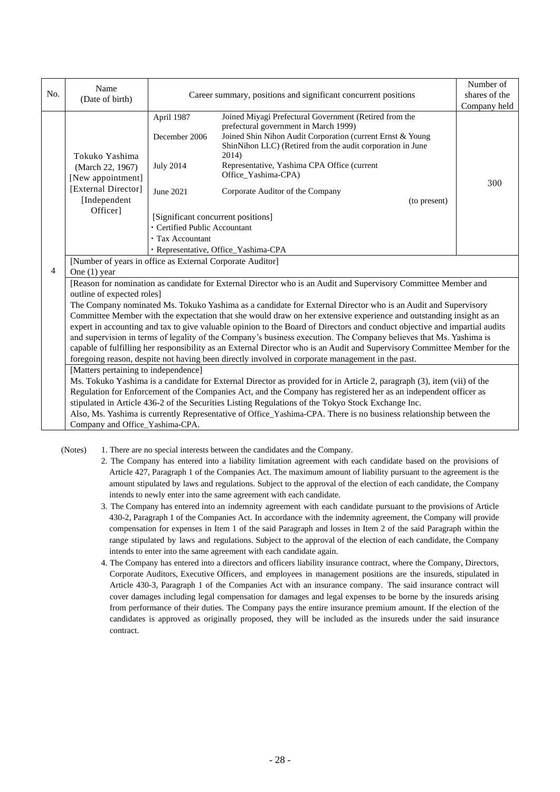| No.            | Name<br>(Date of birth)                                                                                                                                                                                                                                                                                                                                                                                                                                                                                                                                                                                                                                                                                                                                                                                                                                                                                                                                  | Career summary, positions and significant concurrent positions                                                                                          | Number of<br>shares of the<br>Company held                                                                                                                                                                                                                                                                                                                                                             |     |  |  |
|----------------|----------------------------------------------------------------------------------------------------------------------------------------------------------------------------------------------------------------------------------------------------------------------------------------------------------------------------------------------------------------------------------------------------------------------------------------------------------------------------------------------------------------------------------------------------------------------------------------------------------------------------------------------------------------------------------------------------------------------------------------------------------------------------------------------------------------------------------------------------------------------------------------------------------------------------------------------------------|---------------------------------------------------------------------------------------------------------------------------------------------------------|--------------------------------------------------------------------------------------------------------------------------------------------------------------------------------------------------------------------------------------------------------------------------------------------------------------------------------------------------------------------------------------------------------|-----|--|--|
|                | Tokuko Yashima<br>(March 22, 1967)<br>[New appointment]<br>[External Director]<br>[Independent<br>Officer]                                                                                                                                                                                                                                                                                                                                                                                                                                                                                                                                                                                                                                                                                                                                                                                                                                               | April 1987<br>December 2006<br><b>July 2014</b><br>June 2021<br>[Significant concurrent positions]<br>· Certified Public Accountant<br>• Tax Accountant | Joined Miyagi Prefectural Government (Retired from the<br>prefectural government in March 1999)<br>Joined Shin Nihon Audit Corporation (current Ernst & Young<br>ShinNihon LLC) (Retired from the audit corporation in June<br>2014)<br>Representative, Yashima CPA Office (current<br>Office_Yashima-CPA)<br>Corporate Auditor of the Company<br>(to present)<br>· Representative, Office_Yashima-CPA | 300 |  |  |
| $\overline{4}$ | [Number of years in office as External Corporate Auditor]<br>One $(1)$ year<br>[Reason for nomination as candidate for External Director who is an Audit and Supervisory Committee Member and<br>outline of expected roles]<br>The Company nominated Ms. Tokuko Yashima as a candidate for External Director who is an Audit and Supervisory<br>Committee Member with the expectation that she would draw on her extensive experience and outstanding insight as an<br>expert in accounting and tax to give valuable opinion to the Board of Directors and conduct objective and impartial audits<br>and supervision in terms of legality of the Company's business execution. The Company believes that Ms. Yashima is<br>capable of fulfilling her responsibility as an External Director who is an Audit and Supervisory Committee Member for the<br>foregoing reason, despite not having been directly involved in corporate management in the past. |                                                                                                                                                         |                                                                                                                                                                                                                                                                                                                                                                                                        |     |  |  |
|                | [Matters pertaining to independence]<br>Ms. Tokuko Yashima is a candidate for External Director as provided for in Article 2, paragraph (3), item (vii) of the<br>Regulation for Enforcement of the Companies Act, and the Company has registered her as an independent officer as<br>stipulated in Article 436-2 of the Securities Listing Regulations of the Tokyo Stock Exchange Inc.<br>Also, Ms. Yashima is currently Representative of Office_Yashima-CPA. There is no business relationship between the<br>Company and Office_Yashima-CPA.                                                                                                                                                                                                                                                                                                                                                                                                        |                                                                                                                                                         |                                                                                                                                                                                                                                                                                                                                                                                                        |     |  |  |

(Notes) 1. There are no special interests between the candidates and the Company.

- 2. The Company has entered into a liability limitation agreement with each candidate based on the provisions of Article 427, Paragraph 1 of the Companies Act. The maximum amount of liability pursuant to the agreement is the amount stipulated by laws and regulations. Subject to the approval of the election of each candidate, the Company intends to newly enter into the same agreement with each candidate.
- 3. The Company has entered into an indemnity agreement with each candidate pursuant to the provisions of Article 430-2, Paragraph 1 of the Companies Act. In accordance with the indemnity agreement, the Company will provide compensation for expenses in Item 1 of the said Paragraph and losses in Item 2 of the said Paragraph within the range stipulated by laws and regulations. Subject to the approval of the election of each candidate, the Company intends to enter into the same agreement with each candidate again.
- 4. The Company has entered into a directors and officers liability insurance contract, where the Company, Directors, Corporate Auditors, Executive Officers, and employees in management positions are the insureds, stipulated in Article 430-3, Paragraph 1 of the Companies Act with an insurance company. The said insurance contract will cover damages including legal compensation for damages and legal expenses to be borne by the insureds arising from performance of their duties. The Company pays the entire insurance premium amount. If the election of the candidates is approved as originally proposed, they will be included as the insureds under the said insurance contract.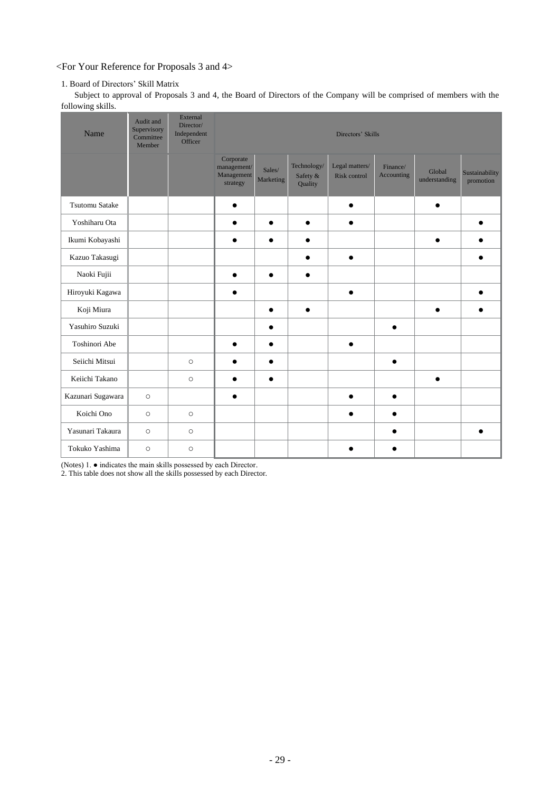# <For Your Reference for Proposals 3 and 4>

## 1. Board of Directors' Skill Matrix

Subject to approval of Proposals 3 and 4, the Board of Directors of the Company will be comprised of members with the following skills.

| Name                  | Audit and<br>Supervisory<br>Committee<br>Member | External<br>Director/<br>Independent<br>Officer | Directors' Skills                                  |                     |                                    |                                |                        |                         |                             |
|-----------------------|-------------------------------------------------|-------------------------------------------------|----------------------------------------------------|---------------------|------------------------------------|--------------------------------|------------------------|-------------------------|-----------------------------|
|                       |                                                 |                                                 | Corporate<br>management/<br>Management<br>strategy | Sales/<br>Marketing | Technology/<br>Safety &<br>Quality | Legal matters/<br>Risk control | Finance/<br>Accounting | Global<br>understanding | Sustainability<br>promotion |
| <b>Tsutomu Satake</b> |                                                 |                                                 | $\bullet$                                          |                     |                                    | $\bullet$                      |                        | $\bullet$               |                             |
| Yoshiharu Ota         |                                                 |                                                 | $\bullet$                                          | $\bullet$           | $\bullet$                          | $\bullet$                      |                        |                         |                             |
| Ikumi Kobayashi       |                                                 |                                                 | $\bullet$                                          | $\bullet$           | $\bullet$                          |                                |                        |                         |                             |
| Kazuo Takasugi        |                                                 |                                                 |                                                    |                     |                                    | $\bullet$                      |                        |                         |                             |
| Naoki Fujii           |                                                 |                                                 | $\bullet$                                          | $\bullet$           | $\bullet$                          |                                |                        |                         |                             |
| Hiroyuki Kagawa       |                                                 |                                                 | $\bullet$                                          |                     |                                    | $\bullet$                      |                        |                         |                             |
| Koji Miura            |                                                 |                                                 |                                                    | $\bullet$           | $\bullet$                          |                                |                        | $\bullet$               |                             |
| Yasuhiro Suzuki       |                                                 |                                                 |                                                    | $\bullet$           |                                    |                                | $\bullet$              |                         |                             |
| Toshinori Abe         |                                                 |                                                 |                                                    | $\bullet$           |                                    | $\bullet$                      |                        |                         |                             |
| Seiichi Mitsui        |                                                 | $\circ$                                         | $\bullet$                                          | $\bullet$           |                                    |                                | $\bullet$              |                         |                             |
| Keiichi Takano        |                                                 | $\circ$                                         | $\bullet$                                          | $\bullet$           |                                    |                                |                        | $\bullet$               |                             |
| Kazunari Sugawara     | $\circ$                                         |                                                 | $\bullet$                                          |                     |                                    |                                | $\bullet$              |                         |                             |
| Koichi Ono            | $\bigcirc$                                      | $\circ$                                         |                                                    |                     |                                    | $\bullet$                      | $\bullet$              |                         |                             |
| Yasunari Takaura      | $\circ$                                         | $\circ$                                         |                                                    |                     |                                    |                                |                        |                         |                             |
| Tokuko Yashima        | $\circ$                                         | $\circ$                                         |                                                    |                     |                                    |                                | ●                      |                         |                             |

(Notes) 1. ● indicates the main skills possessed by each Director.

2. This table does not show all the skills possessed by each Director.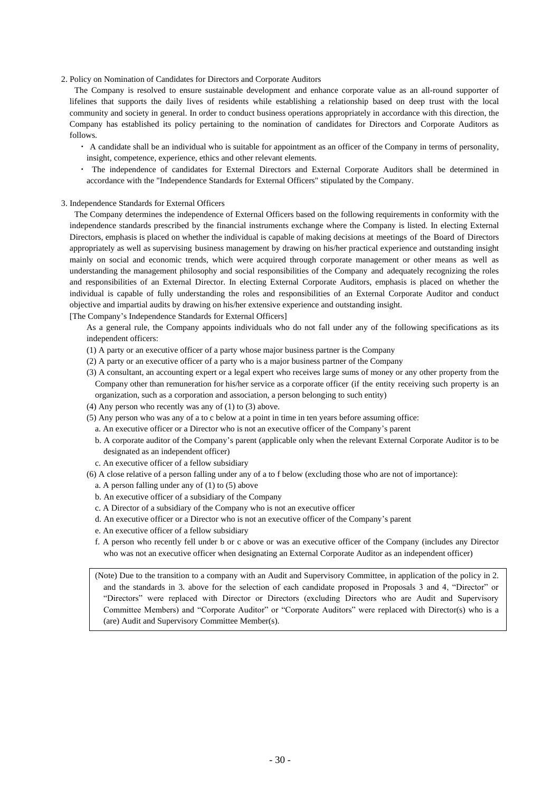#### 2. Policy on Nomination of Candidates for Directors and Corporate Auditors

The Company is resolved to ensure sustainable development and enhance corporate value as an all-round supporter of lifelines that supports the daily lives of residents while establishing a relationship based on deep trust with the local community and society in general. In order to conduct business operations appropriately in accordance with this direction, the Company has established its policy pertaining to the nomination of candidates for Directors and Corporate Auditors as follows.

- ・ A candidate shall be an individual who is suitable for appointment as an officer of the Company in terms of personality, insight, competence, experience, ethics and other relevant elements.
- ・ The independence of candidates for External Directors and External Corporate Auditors shall be determined in accordance with the "Independence Standards for External Officers" stipulated by the Company.

#### 3. Independence Standards for External Officers

The Company determines the independence of External Officers based on the following requirements in conformity with the independence standards prescribed by the financial instruments exchange where the Company is listed. In electing External Directors, emphasis is placed on whether the individual is capable of making decisions at meetings of the Board of Directors appropriately as well as supervising business management by drawing on his/her practical experience and outstanding insight mainly on social and economic trends, which were acquired through corporate management or other means as well as understanding the management philosophy and social responsibilities of the Company and adequately recognizing the roles and responsibilities of an External Director. In electing External Corporate Auditors, emphasis is placed on whether the individual is capable of fully understanding the roles and responsibilities of an External Corporate Auditor and conduct objective and impartial audits by drawing on his/her extensive experience and outstanding insight.

[The Company's Independence Standards for External Officers]

As a general rule, the Company appoints individuals who do not fall under any of the following specifications as its independent officers:

- (1) A party or an executive officer of a party whose major business partner is the Company
- (2) A party or an executive officer of a party who is a major business partner of the Company
- (3) A consultant, an accounting expert or a legal expert who receives large sums of money or any other property from the Company other than remuneration for his/her service as a corporate officer (if the entity receiving such property is an organization, such as a corporation and association, a person belonging to such entity)
- (4) Any person who recently was any of (1) to (3) above.
- (5) Any person who was any of a to c below at a point in time in ten years before assuming office:
	- a. An executive officer or a Director who is not an executive officer of the Company's parent
	- b. A corporate auditor of the Company's parent (applicable only when the relevant External Corporate Auditor is to be designated as an independent officer)
	- c. An executive officer of a fellow subsidiary
- (6) A close relative of a person falling under any of a to f below (excluding those who are not of importance):
	- a. A person falling under any of (1) to (5) above
	- b. An executive officer of a subsidiary of the Company
	- c. A Director of a subsidiary of the Company who is not an executive officer
	- d. An executive officer or a Director who is not an executive officer of the Company's parent
	- e. An executive officer of a fellow subsidiary
	- f. A person who recently fell under b or c above or was an executive officer of the Company (includes any Director who was not an executive officer when designating an External Corporate Auditor as an independent officer)

(Note) Due to the transition to a company with an Audit and Supervisory Committee, in application of the policy in 2. and the standards in 3. above for the selection of each candidate proposed in Proposals 3 and 4, "Director" or "Directors" were replaced with Director or Directors (excluding Directors who are Audit and Supervisory Committee Members) and "Corporate Auditor" or "Corporate Auditors" were replaced with Director(s) who is a (are) Audit and Supervisory Committee Member(s).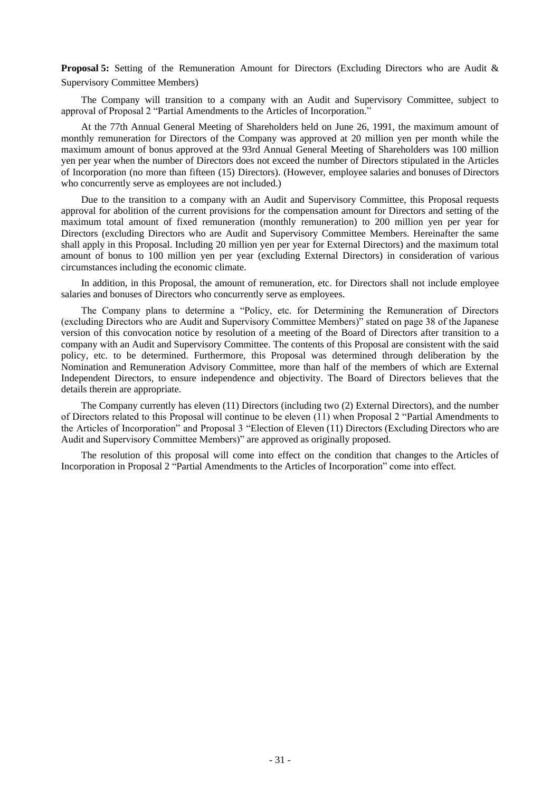**Proposal 5:** Setting of the Remuneration Amount for Directors (Excluding Directors who are Audit & Supervisory Committee Members)

The Company will transition to a company with an Audit and Supervisory Committee, subject to approval of Proposal 2 "Partial Amendments to the Articles of Incorporation."

At the 77th Annual General Meeting of Shareholders held on June 26, 1991, the maximum amount of monthly remuneration for Directors of the Company was approved at 20 million yen per month while the maximum amount of bonus approved at the 93rd Annual General Meeting of Shareholders was 100 million yen per year when the number of Directors does not exceed the number of Directors stipulated in the Articles of Incorporation (no more than fifteen (15) Directors). (However, employee salaries and bonuses of Directors who concurrently serve as employees are not included.)

Due to the transition to a company with an Audit and Supervisory Committee, this Proposal requests approval for abolition of the current provisions for the compensation amount for Directors and setting of the maximum total amount of fixed remuneration (monthly remuneration) to 200 million yen per year for Directors (excluding Directors who are Audit and Supervisory Committee Members. Hereinafter the same shall apply in this Proposal. Including 20 million yen per year for External Directors) and the maximum total amount of bonus to 100 million yen per year (excluding External Directors) in consideration of various circumstances including the economic climate.

In addition, in this Proposal, the amount of remuneration, etc. for Directors shall not include employee salaries and bonuses of Directors who concurrently serve as employees.

The Company plans to determine a "Policy, etc. for Determining the Remuneration of Directors (excluding Directors who are Audit and Supervisory Committee Members)" stated on page 38 of the Japanese version of this convocation notice by resolution of a meeting of the Board of Directors after transition to a company with an Audit and Supervisory Committee. The contents of this Proposal are consistent with the said policy, etc. to be determined. Furthermore, this Proposal was determined through deliberation by the Nomination and Remuneration Advisory Committee, more than half of the members of which are External Independent Directors, to ensure independence and objectivity. The Board of Directors believes that the details therein are appropriate.

The Company currently has eleven (11) Directors (including two (2) External Directors), and the number of Directors related to this Proposal will continue to be eleven (11) when Proposal 2 "Partial Amendments to the Articles of Incorporation" and Proposal 3 "Election of Eleven (11) Directors (Excluding Directors who are Audit and Supervisory Committee Members)" are approved as originally proposed.

The resolution of this proposal will come into effect on the condition that changes to the Articles of Incorporation in Proposal 2 "Partial Amendments to the Articles of Incorporation" come into effect.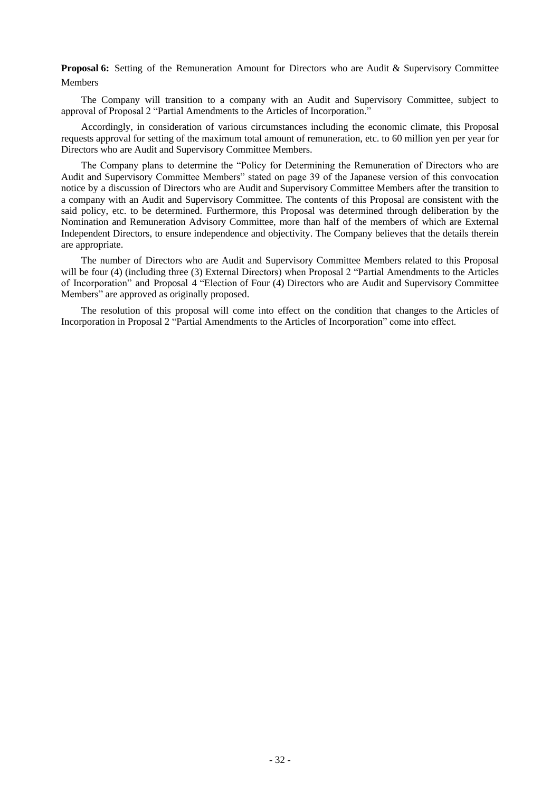**Proposal 6:** Setting of the Remuneration Amount for Directors who are Audit & Supervisory Committee Members

The Company will transition to a company with an Audit and Supervisory Committee, subject to approval of Proposal 2 "Partial Amendments to the Articles of Incorporation."

Accordingly, in consideration of various circumstances including the economic climate, this Proposal requests approval for setting of the maximum total amount of remuneration, etc. to 60 million yen per year for Directors who are Audit and Supervisory Committee Members.

The Company plans to determine the "Policy for Determining the Remuneration of Directors who are Audit and Supervisory Committee Members" stated on page 39 of the Japanese version of this convocation notice by a discussion of Directors who are Audit and Supervisory Committee Members after the transition to a company with an Audit and Supervisory Committee. The contents of this Proposal are consistent with the said policy, etc. to be determined. Furthermore, this Proposal was determined through deliberation by the Nomination and Remuneration Advisory Committee, more than half of the members of which are External Independent Directors, to ensure independence and objectivity. The Company believes that the details therein are appropriate.

The number of Directors who are Audit and Supervisory Committee Members related to this Proposal will be four (4) (including three (3) External Directors) when Proposal 2 "Partial Amendments to the Articles of Incorporation" and Proposal 4 "Election of Four (4) Directors who are Audit and Supervisory Committee Members" are approved as originally proposed.

The resolution of this proposal will come into effect on the condition that changes to the Articles of Incorporation in Proposal 2 "Partial Amendments to the Articles of Incorporation" come into effect.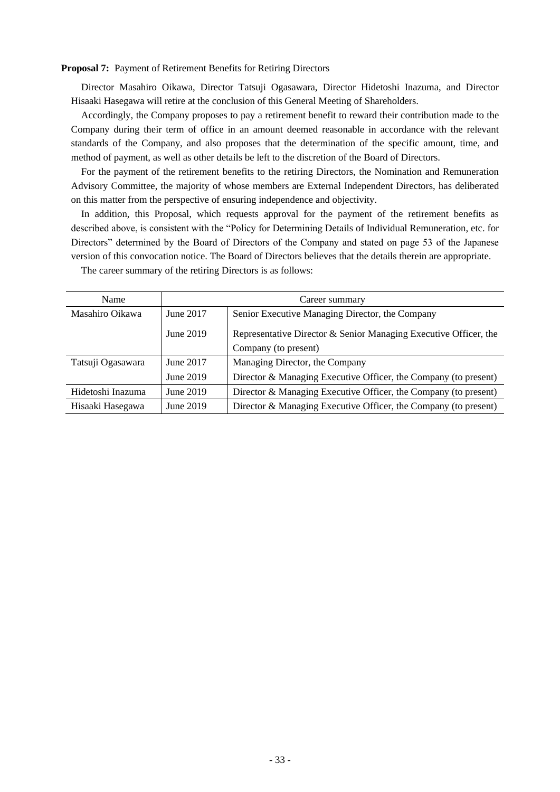# **Proposal 7:** Payment of Retirement Benefits for Retiring Directors

Director Masahiro Oikawa, Director Tatsuji Ogasawara, Director Hidetoshi Inazuma, and Director Hisaaki Hasegawa will retire at the conclusion of this General Meeting of Shareholders.

Accordingly, the Company proposes to pay a retirement benefit to reward their contribution made to the Company during their term of office in an amount deemed reasonable in accordance with the relevant standards of the Company, and also proposes that the determination of the specific amount, time, and method of payment, as well as other details be left to the discretion of the Board of Directors.

For the payment of the retirement benefits to the retiring Directors, the Nomination and Remuneration Advisory Committee, the majority of whose members are External Independent Directors, has deliberated on this matter from the perspective of ensuring independence and objectivity.

In addition, this Proposal, which requests approval for the payment of the retirement benefits as described above, is consistent with the "Policy for Determining Details of Individual Remuneration, etc. for Directors" determined by the Board of Directors of the Company and stated on page 53 of the Japanese version of this convocation notice. The Board of Directors believes that the details therein are appropriate.

| Name              | Career summary |                                                                  |  |  |
|-------------------|----------------|------------------------------------------------------------------|--|--|
| Masahiro Oikawa   | June 2017      | Senior Executive Managing Director, the Company                  |  |  |
|                   | June 2019      | Representative Director & Senior Managing Executive Officer, the |  |  |
|                   |                | Company (to present)                                             |  |  |
| Tatsuji Ogasawara | June 2017      | Managing Director, the Company                                   |  |  |
|                   | June 2019      | Director & Managing Executive Officer, the Company (to present)  |  |  |
| Hidetoshi Inazuma | June 2019      | Director & Managing Executive Officer, the Company (to present)  |  |  |
| Hisaaki Hasegawa  | June 2019      | Director & Managing Executive Officer, the Company (to present)  |  |  |

The career summary of the retiring Directors is as follows: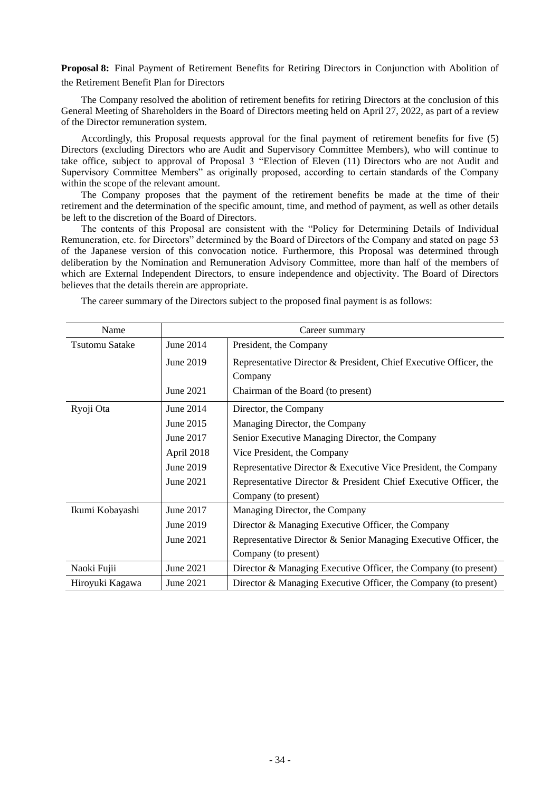**Proposal 8:** Final Payment of Retirement Benefits for Retiring Directors in Conjunction with Abolition of the Retirement Benefit Plan for Directors

The Company resolved the abolition of retirement benefits for retiring Directors at the conclusion of this General Meeting of Shareholders in the Board of Directors meeting held on April 27, 2022, as part of a review of the Director remuneration system.

Accordingly, this Proposal requests approval for the final payment of retirement benefits for five (5) Directors (excluding Directors who are Audit and Supervisory Committee Members), who will continue to take office, subject to approval of Proposal 3 "Election of Eleven (11) Directors who are not Audit and Supervisory Committee Members" as originally proposed, according to certain standards of the Company within the scope of the relevant amount.

The Company proposes that the payment of the retirement benefits be made at the time of their retirement and the determination of the specific amount, time, and method of payment, as well as other details be left to the discretion of the Board of Directors.

The contents of this Proposal are consistent with the "Policy for Determining Details of Individual Remuneration, etc. for Directors" determined by the Board of Directors of the Company and stated on page 53 of the Japanese version of this convocation notice. Furthermore, this Proposal was determined through deliberation by the Nomination and Remuneration Advisory Committee, more than half of the members of which are External Independent Directors, to ensure independence and objectivity. The Board of Directors believes that the details therein are appropriate.

| Name                  | Career summary |                                                                   |  |  |
|-----------------------|----------------|-------------------------------------------------------------------|--|--|
| <b>Tsutomu Satake</b> | June 2014      | President, the Company                                            |  |  |
|                       | June 2019      | Representative Director & President, Chief Executive Officer, the |  |  |
|                       |                | Company                                                           |  |  |
|                       | June 2021      | Chairman of the Board (to present)                                |  |  |
| Ryoji Ota             | June 2014      | Director, the Company                                             |  |  |
|                       | June 2015      | Managing Director, the Company                                    |  |  |
|                       | June 2017      | Senior Executive Managing Director, the Company                   |  |  |
|                       | April 2018     | Vice President, the Company                                       |  |  |
|                       | June 2019      | Representative Director & Executive Vice President, the Company   |  |  |
|                       | June 2021      | Representative Director & President Chief Executive Officer, the  |  |  |
|                       |                | Company (to present)                                              |  |  |
| Ikumi Kobayashi       | June 2017      | Managing Director, the Company                                    |  |  |
|                       | June 2019      | Director & Managing Executive Officer, the Company                |  |  |
|                       | June 2021      | Representative Director & Senior Managing Executive Officer, the  |  |  |
|                       |                | Company (to present)                                              |  |  |
| Naoki Fujii           | June 2021      | Director & Managing Executive Officer, the Company (to present)   |  |  |
| Hiroyuki Kagawa       | June 2021      | Director & Managing Executive Officer, the Company (to present)   |  |  |

The career summary of the Directors subject to the proposed final payment is as follows: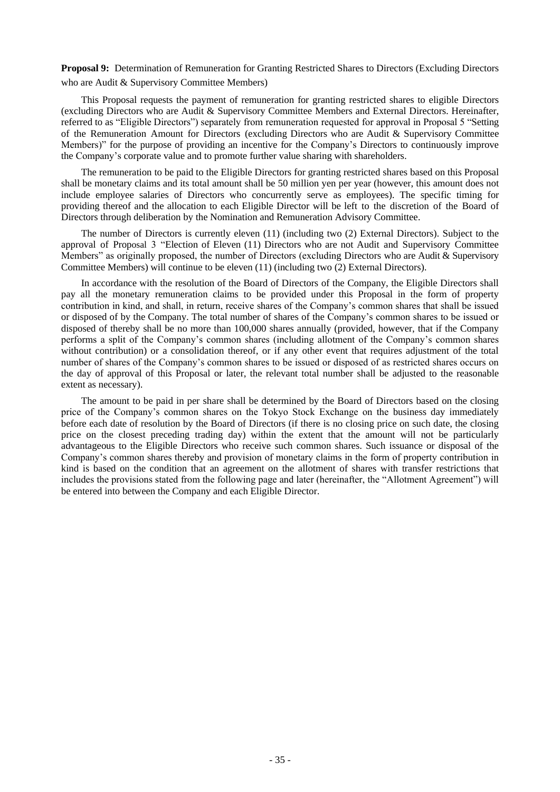**Proposal 9:** Determination of Remuneration for Granting Restricted Shares to Directors (Excluding Directors who are Audit & Supervisory Committee Members)

This Proposal requests the payment of remuneration for granting restricted shares to eligible Directors (excluding Directors who are Audit & Supervisory Committee Members and External Directors. Hereinafter, referred to as "Eligible Directors") separately from remuneration requested for approval in Proposal 5 "Setting of the Remuneration Amount for Directors (excluding Directors who are Audit & Supervisory Committee Members)" for the purpose of providing an incentive for the Company's Directors to continuously improve the Company's corporate value and to promote further value sharing with shareholders.

The remuneration to be paid to the Eligible Directors for granting restricted shares based on this Proposal shall be monetary claims and its total amount shall be 50 million yen per year (however, this amount does not include employee salaries of Directors who concurrently serve as employees). The specific timing for providing thereof and the allocation to each Eligible Director will be left to the discretion of the Board of Directors through deliberation by the Nomination and Remuneration Advisory Committee.

The number of Directors is currently eleven (11) (including two (2) External Directors). Subject to the approval of Proposal 3 "Election of Eleven (11) Directors who are not Audit and Supervisory Committee Members" as originally proposed, the number of Directors (excluding Directors who are Audit & Supervisory Committee Members) will continue to be eleven (11) (including two (2) External Directors).

In accordance with the resolution of the Board of Directors of the Company, the Eligible Directors shall pay all the monetary remuneration claims to be provided under this Proposal in the form of property contribution in kind, and shall, in return, receive shares of the Company's common shares that shall be issued or disposed of by the Company. The total number of shares of the Company's common shares to be issued or disposed of thereby shall be no more than 100,000 shares annually (provided, however, that if the Company performs a split of the Company's common shares (including allotment of the Company's common shares without contribution) or a consolidation thereof, or if any other event that requires adjustment of the total number of shares of the Company's common shares to be issued or disposed of as restricted shares occurs on the day of approval of this Proposal or later, the relevant total number shall be adjusted to the reasonable extent as necessary).

The amount to be paid in per share shall be determined by the Board of Directors based on the closing price of the Company's common shares on the Tokyo Stock Exchange on the business day immediately before each date of resolution by the Board of Directors (if there is no closing price on such date, the closing price on the closest preceding trading day) within the extent that the amount will not be particularly advantageous to the Eligible Directors who receive such common shares. Such issuance or disposal of the Company's common shares thereby and provision of monetary claims in the form of property contribution in kind is based on the condition that an agreement on the allotment of shares with transfer restrictions that includes the provisions stated from the following page and later (hereinafter, the "Allotment Agreement") will be entered into between the Company and each Eligible Director.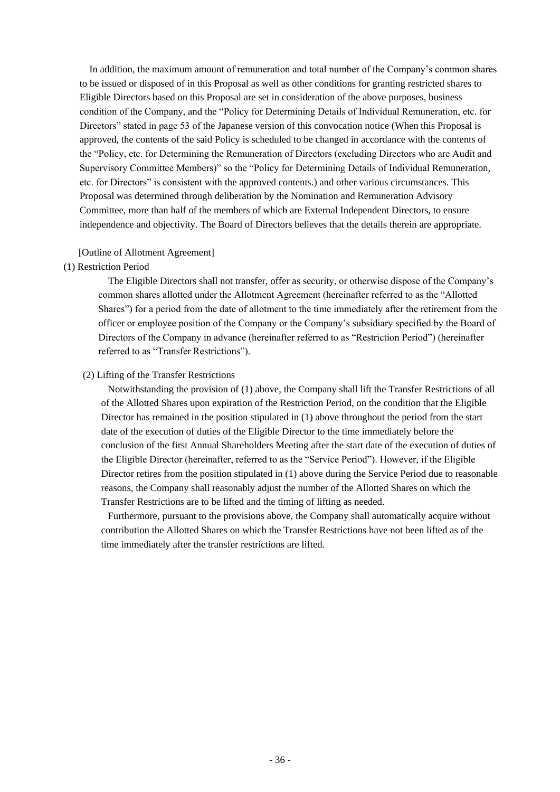In addition, the maximum amount of remuneration and total number of the Company's common shares to be issued or disposed of in this Proposal as well as other conditions for granting restricted shares to Eligible Directors based on this Proposal are set in consideration of the above purposes, business condition of the Company, and the "Policy for Determining Details of Individual Remuneration, etc. for Directors" stated in page 53 of the Japanese version of this convocation notice (When this Proposal is approved, the contents of the said Policy is scheduled to be changed in accordance with the contents of the "Policy, etc. for Determining the Remuneration of Directors (excluding Directors who are Audit and Supervisory Committee Members)" so the "Policy for Determining Details of Individual Remuneration, etc. for Directors" is consistent with the approved contents.) and other various circumstances. This Proposal was determined through deliberation by the Nomination and Remuneration Advisory Committee, more than half of the members of which are External Independent Directors, to ensure independence and objectivity. The Board of Directors believes that the details therein are appropriate.

## [Outline of Allotment Agreement]

# (1) Restriction Period

The Eligible Directors shall not transfer, offer as security, or otherwise dispose of the Company's common shares allotted under the Allotment Agreement (hereinafter referred to as the "Allotted Shares") for a period from the date of allotment to the time immediately after the retirement from the officer or employee position of the Company or the Company's subsidiary specified by the Board of Directors of the Company in advance (hereinafter referred to as "Restriction Period") (hereinafter referred to as "Transfer Restrictions").

# (2) Lifting of the Transfer Restrictions

Notwithstanding the provision of (1) above, the Company shall lift the Transfer Restrictions of all of the Allotted Shares upon expiration of the Restriction Period, on the condition that the Eligible Director has remained in the position stipulated in (1) above throughout the period from the start date of the execution of duties of the Eligible Director to the time immediately before the conclusion of the first Annual Shareholders Meeting after the start date of the execution of duties of the Eligible Director (hereinafter, referred to as the "Service Period"). However, if the Eligible Director retires from the position stipulated in (1) above during the Service Period due to reasonable reasons, the Company shall reasonably adjust the number of the Allotted Shares on which the Transfer Restrictions are to be lifted and the timing of lifting as needed.

Furthermore, pursuant to the provisions above, the Company shall automatically acquire without contribution the Allotted Shares on which the Transfer Restrictions have not been lifted as of the time immediately after the transfer restrictions are lifted.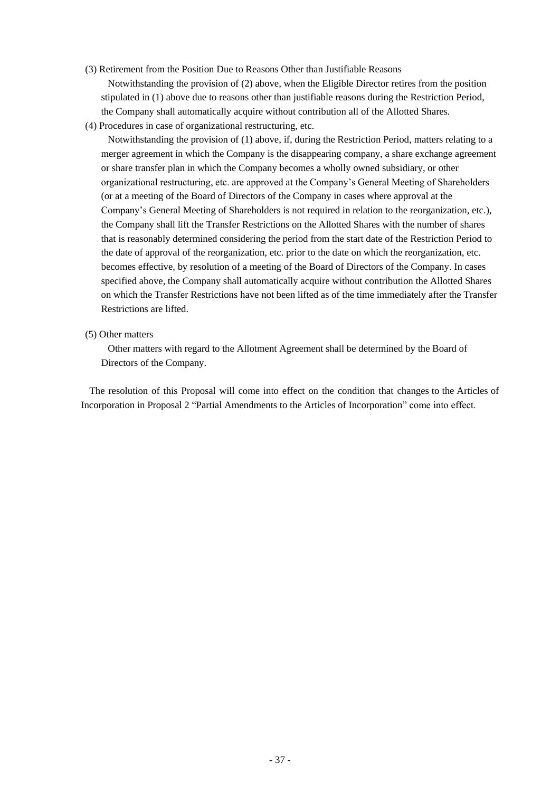(3) Retirement from the Position Due to Reasons Other than Justifiable Reasons

Notwithstanding the provision of (2) above, when the Eligible Director retires from the position stipulated in (1) above due to reasons other than justifiable reasons during the Restriction Period, the Company shall automatically acquire without contribution all of the Allotted Shares.

(4) Procedures in case of organizational restructuring, etc.

Notwithstanding the provision of (1) above, if, during the Restriction Period, matters relating to a merger agreement in which the Company is the disappearing company, a share exchange agreement or share transfer plan in which the Company becomes a wholly owned subsidiary, or other organizational restructuring, etc. are approved at the Company's General Meeting of Shareholders (or at a meeting of the Board of Directors of the Company in cases where approval at the Company's General Meeting of Shareholders is not required in relation to the reorganization, etc.), the Company shall lift the Transfer Restrictions on the Allotted Shares with the number of shares that is reasonably determined considering the period from the start date of the Restriction Period to the date of approval of the reorganization, etc. prior to the date on which the reorganization, etc. becomes effective, by resolution of a meeting of the Board of Directors of the Company. In cases specified above, the Company shall automatically acquire without contribution the Allotted Shares on which the Transfer Restrictions have not been lifted as of the time immediately after the Transfer Restrictions are lifted.

(5) Other matters

Other matters with regard to the Allotment Agreement shall be determined by the Board of Directors of the Company.

The resolution of this Proposal will come into effect on the condition that changes to the Articles of Incorporation in Proposal 2 "Partial Amendments to the Articles of Incorporation" come into effect.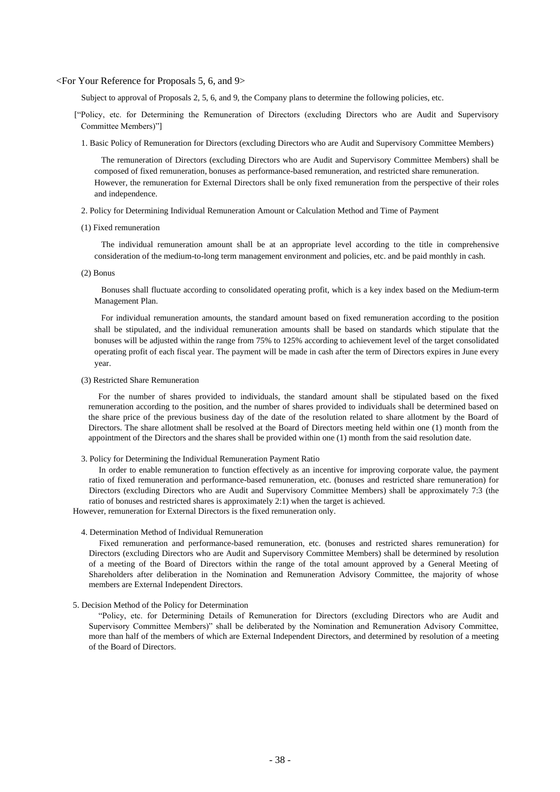#### <For Your Reference for Proposals 5, 6, and 9>

Subject to approval of Proposals 2, 5, 6, and 9, the Company plans to determine the following policies, etc.

- ["Policy, etc. for Determining the Remuneration of Directors (excluding Directors who are Audit and Supervisory Committee Members)"]
	- 1. Basic Policy of Remuneration for Directors (excluding Directors who are Audit and Supervisory Committee Members)

The remuneration of Directors (excluding Directors who are Audit and Supervisory Committee Members) shall be composed of fixed remuneration, bonuses as performance-based remuneration, and restricted share remuneration. However, the remuneration for External Directors shall be only fixed remuneration from the perspective of their roles and independence.

- 2. Policy for Determining Individual Remuneration Amount or Calculation Method and Time of Payment
- (1) Fixed remuneration

The individual remuneration amount shall be at an appropriate level according to the title in comprehensive consideration of the medium-to-long term management environment and policies, etc. and be paid monthly in cash.

(2) Bonus

Bonuses shall fluctuate according to consolidated operating profit, which is a key index based on the Medium-term Management Plan.

For individual remuneration amounts, the standard amount based on fixed remuneration according to the position shall be stipulated, and the individual remuneration amounts shall be based on standards which stipulate that the bonuses will be adjusted within the range from 75% to 125% according to achievement level of the target consolidated operating profit of each fiscal year. The payment will be made in cash after the term of Directors expires in June every year.

#### (3) Restricted Share Remuneration

For the number of shares provided to individuals, the standard amount shall be stipulated based on the fixed remuneration according to the position, and the number of shares provided to individuals shall be determined based on the share price of the previous business day of the date of the resolution related to share allotment by the Board of Directors. The share allotment shall be resolved at the Board of Directors meeting held within one (1) month from the appointment of the Directors and the shares shall be provided within one (1) month from the said resolution date.

3. Policy for Determining the Individual Remuneration Payment Ratio

In order to enable remuneration to function effectively as an incentive for improving corporate value, the payment ratio of fixed remuneration and performance-based remuneration, etc. (bonuses and restricted share remuneration) for Directors (excluding Directors who are Audit and Supervisory Committee Members) shall be approximately 7:3 (the ratio of bonuses and restricted shares is approximately 2:1) when the target is achieved.

However, remuneration for External Directors is the fixed remuneration only.

#### 4. Determination Method of Individual Remuneration

Fixed remuneration and performance-based remuneration, etc. (bonuses and restricted shares remuneration) for Directors (excluding Directors who are Audit and Supervisory Committee Members) shall be determined by resolution of a meeting of the Board of Directors within the range of the total amount approved by a General Meeting of Shareholders after deliberation in the Nomination and Remuneration Advisory Committee, the majority of whose members are External Independent Directors.

5. Decision Method of the Policy for Determination

"Policy, etc. for Determining Details of Remuneration for Directors (excluding Directors who are Audit and Supervisory Committee Members)" shall be deliberated by the Nomination and Remuneration Advisory Committee, more than half of the members of which are External Independent Directors, and determined by resolution of a meeting of the Board of Directors.